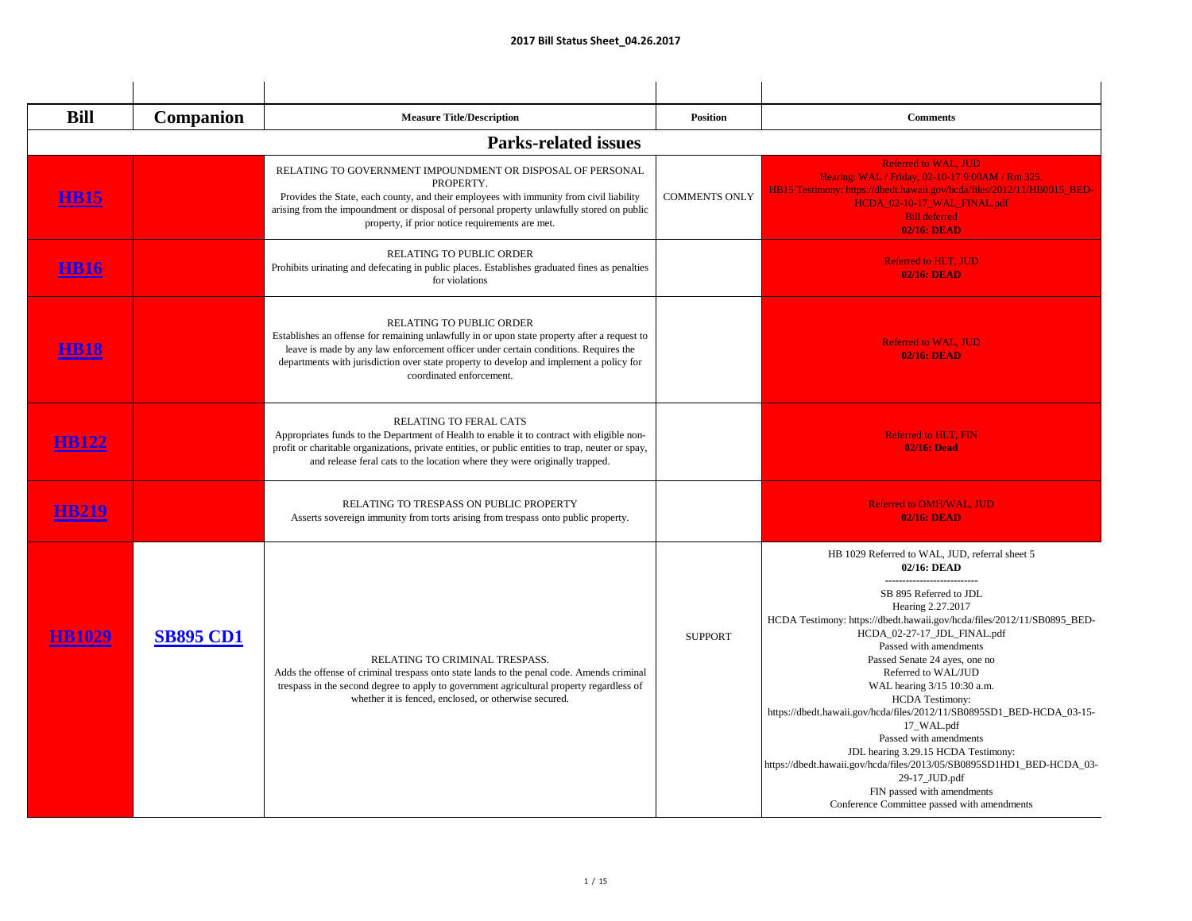| <b>Bill</b>  | <b>Companion</b> | <b>Measure Title/Description</b>                                                                                                                                                                                                                                                                                                              | <b>Position</b>      | <b>Comments</b>                                                                                                                                                                                                                                                                                                                                                                                                                                                                                                                                                                                                                                                                                                               |
|--------------|------------------|-----------------------------------------------------------------------------------------------------------------------------------------------------------------------------------------------------------------------------------------------------------------------------------------------------------------------------------------------|----------------------|-------------------------------------------------------------------------------------------------------------------------------------------------------------------------------------------------------------------------------------------------------------------------------------------------------------------------------------------------------------------------------------------------------------------------------------------------------------------------------------------------------------------------------------------------------------------------------------------------------------------------------------------------------------------------------------------------------------------------------|
|              |                  | <b>Parks-related issues</b>                                                                                                                                                                                                                                                                                                                   |                      |                                                                                                                                                                                                                                                                                                                                                                                                                                                                                                                                                                                                                                                                                                                               |
| <b>HB15</b>  |                  | RELATING TO GOVERNMENT IMPOUNDMENT OR DISPOSAL OF PERSONAL<br>PROPERTY.<br>Provides the State, each county, and their employees with immunity from civil liability<br>arising from the impoundment or disposal of personal property unlawfully stored on public<br>property, if prior notice requirements are met.                            | <b>COMMENTS ONLY</b> | <b>Referred to WAL, JUD</b><br>Hearing: WAL / Friday, 02-10-17 9:00AM / Rm 325.<br>HB15 Testimony: https://dbedt.hawaii.gov/hcda/files/2012/11/HB0015_BED-<br>HCDA_02-10-17_WAL_FINAL.pdf<br><b>Bill deferred</b><br><b>02/16: DEAD</b>                                                                                                                                                                                                                                                                                                                                                                                                                                                                                       |
|              |                  | <b>RELATING TO PUBLIC ORDER</b><br>Prohibits urinating and defecating in public places. Establishes graduated fines as penalties<br>for violations                                                                                                                                                                                            |                      | <b>Referred to HLT. JUD</b><br><b>02/16: DEAD</b>                                                                                                                                                                                                                                                                                                                                                                                                                                                                                                                                                                                                                                                                             |
| <u>НВ18</u>  |                  | <b>RELATING TO PUBLIC ORDER</b><br>Establishes an offense for remaining unlawfully in or upon state property after a request to<br>leave is made by any law enforcement officer under certain conditions. Requires the<br>departments with jurisdiction over state property to develop and implement a policy for<br>coordinated enforcement. |                      | <b>Referred to WAL, JUD</b><br><b>02/16: DEAD</b>                                                                                                                                                                                                                                                                                                                                                                                                                                                                                                                                                                                                                                                                             |
| <b>HB122</b> |                  | <b>RELATING TO FERAL CATS</b><br>Appropriates funds to the Department of Health to enable it to contract with eligible non-<br>profit or charitable organizations, private entities, or public entities to trap, neuter or spay,<br>and release feral cats to the location where they were originally trapped.                                |                      | <b>Referred to HLT, FIN</b><br><b>02/16: Dead</b>                                                                                                                                                                                                                                                                                                                                                                                                                                                                                                                                                                                                                                                                             |
| <b>HB219</b> |                  | RELATING TO TRESPASS ON PUBLIC PROPERTY<br>Asserts sovereign immunity from torts arising from trespass onto public property.                                                                                                                                                                                                                  |                      | <b>Referred to OMH/WAL, JUD</b><br><b>02/16: DEAD</b>                                                                                                                                                                                                                                                                                                                                                                                                                                                                                                                                                                                                                                                                         |
|              | <b>SB895 CD1</b> | RELATING TO CRIMINAL TRESPASS.<br>Adds the offense of criminal trespass onto state lands to the penal code. Amends criminal<br>trespass in the second degree to apply to government agricultural property regardless of<br>whether it is fenced, enclosed, or otherwise secured.                                                              | <b>SUPPORT</b>       | HB 1029 Referred to WAL, JUD, referral sheet 5<br>02/16: DEAD<br>-------------------------<br>SB 895 Referred to JDL<br>Hearing 2.27.2017<br>HCDA Testimony: https://dbedt.hawaii.gov/hcda/files/2012/11/SB0895_BED-<br>HCDA_02-27-17_JDL_FINAL.pdf<br>Passed with amendments<br>Passed Senate 24 ayes, one no<br>Referred to WAL/JUD<br>WAL hearing 3/15 10:30 a.m.<br><b>HCDA</b> Testimony:<br>https://dbedt.hawaii.gov/hcda/files/2012/11/SB0895SD1_BED-HCDA_03-15-<br>17_WAL.pdf<br>Passed with amendments<br>JDL hearing 3.29.15 HCDA Testimony:<br>https://dbedt.hawaii.gov/hcda/files/2013/05/SB0895SD1HD1_BED-HCDA_03-<br>29-17_JUD.pdf<br>FIN passed with amendments<br>Conference Committee passed with amendments |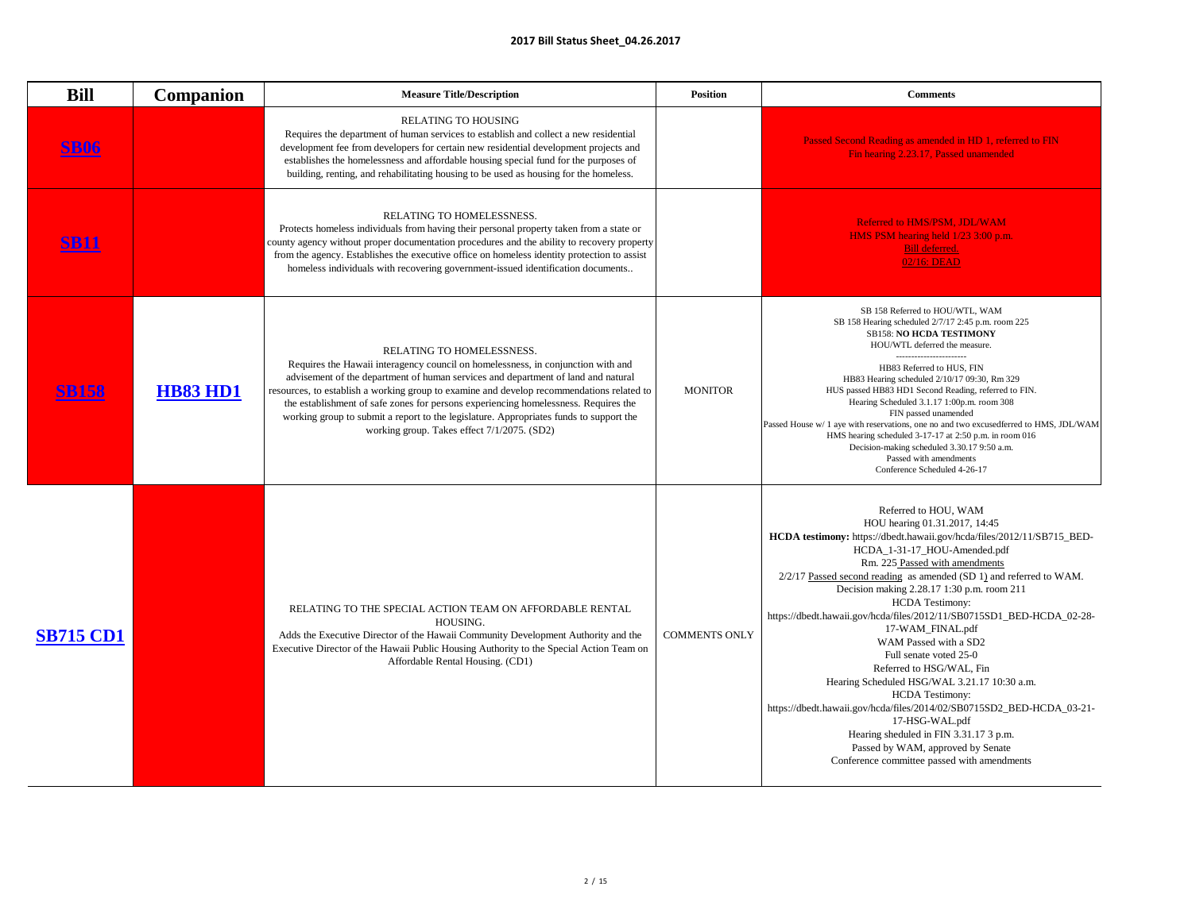|                  |                  | <b>ZULI BIII STATUS SNEET_04.20.2017</b>                                                                                                                                                                                                                                                                                                                                                                                                                                                                                                          |                                                                                                                                                                                                                                                                                                                                                                                                                                                                                                                                                                                                                                                                                                                                                                                                                                   |
|------------------|------------------|---------------------------------------------------------------------------------------------------------------------------------------------------------------------------------------------------------------------------------------------------------------------------------------------------------------------------------------------------------------------------------------------------------------------------------------------------------------------------------------------------------------------------------------------------|-----------------------------------------------------------------------------------------------------------------------------------------------------------------------------------------------------------------------------------------------------------------------------------------------------------------------------------------------------------------------------------------------------------------------------------------------------------------------------------------------------------------------------------------------------------------------------------------------------------------------------------------------------------------------------------------------------------------------------------------------------------------------------------------------------------------------------------|
| <b>Bill</b>      | <b>Companion</b> | <b>Measure Title/Description</b><br><b>Position</b>                                                                                                                                                                                                                                                                                                                                                                                                                                                                                               | <b>Comments</b>                                                                                                                                                                                                                                                                                                                                                                                                                                                                                                                                                                                                                                                                                                                                                                                                                   |
| <u>BU0</u>       |                  | <b>RELATING TO HOUSING</b><br>Requires the department of human services to establish and collect a new residential<br>development fee from developers for certain new residential development projects and<br>establishes the homelessness and affordable housing special fund for the purposes of<br>building, renting, and rehabilitating housing to be used as housing for the homeless.                                                                                                                                                       | Passed Second Reading as amended in HD 1, referred to FIN<br>Fin hearing 2.23.17, Passed unamended                                                                                                                                                                                                                                                                                                                                                                                                                                                                                                                                                                                                                                                                                                                                |
| <u>SB11</u>      |                  | RELATING TO HOMELESSNESS.<br>Protects homeless individuals from having their personal property taken from a state or<br>county agency without proper documentation procedures and the ability to recovery property<br>from the agency. Establishes the executive office on homeless identity protection to assist<br>homeless individuals with recovering government-issued identification documents                                                                                                                                              | Referred to HMS/PSM, JDL/WAM<br>HMS PSM hearing held 1/23 3:00 p.m.<br>Bill deferred.<br>02/16: DEAD                                                                                                                                                                                                                                                                                                                                                                                                                                                                                                                                                                                                                                                                                                                              |
|                  | <b>HB83 HD1</b>  | RELATING TO HOMELESSNESS.<br>Requires the Hawaii interagency council on homelessness, in conjunction with and<br>advisement of the department of human services and department of land and natural<br>resources, to establish a working group to examine and develop recommendations related to<br><b>MONITOR</b><br>the establishment of safe zones for persons experiencing homelessness. Requires the<br>working group to submit a report to the legislature. Appropriates funds to support the<br>working group. Takes effect 7/1/2075. (SD2) | SB 158 Referred to HOU/WTL, WAM<br>SB 158 Hearing scheduled 2/7/17 2:45 p.m. room 225<br><b>SB158: NO HCDA TESTIMONY</b><br>HOU/WTL deferred the measure.<br>-----------------------<br>HB83 Referred to HUS, FIN<br>HB83 Hearing scheduled 2/10/17 09:30, Rm 329<br>HUS passed HB83 HD1 Second Reading, referred to FIN.<br>Hearing Scheduled 3.1.17 1:00p.m. room 308<br>FIN passed unamended<br>Passed House w/ 1 aye with reservations, one no and two excusedferred to HMS, JDL/WAM<br>HMS hearing scheduled 3-17-17 at 2:50 p.m. in room 016<br>Decision-making scheduled 3.30.17 9:50 a.m.<br>Passed with amendments<br>Conference Scheduled 4-26-17                                                                                                                                                                       |
| <b>SB715 CD1</b> |                  | RELATING TO THE SPECIAL ACTION TEAM ON AFFORDABLE RENTAL<br>HOUSING.<br>Adds the Executive Director of the Hawaii Community Development Authority and the<br><b>COMMENTS ONLY</b><br>Executive Director of the Hawaii Public Housing Authority to the Special Action Team on<br>Affordable Rental Housing. (CD1)                                                                                                                                                                                                                                  | Referred to HOU, WAM<br>HOU hearing 01.31.2017, 14:45<br>HCDA testimony: https://dbedt.hawaii.gov/hcda/files/2012/11/SB715_BED-<br>HCDA_1-31-17_HOU-Amended.pdf<br>Rm. 225 Passed with amendments<br>$2/2/17$ Passed second reading as amended (SD 1) and referred to WAM.<br>Decision making 2.28.17 1:30 p.m. room 211<br><b>HCDA</b> Testimony:<br>https://dbedt.hawaii.gov/hcda/files/2012/11/SB0715SD1_BED-HCDA_02-28-<br>17-WAM_FINAL.pdf<br>WAM Passed with a SD2<br>Full senate voted 25-0<br>Referred to HSG/WAL, Fin<br>Hearing Scheduled HSG/WAL 3.21.17 10:30 a.m.<br><b>HCDA</b> Testimony:<br>https://dbedt.hawaii.gov/hcda/files/2014/02/SB0715SD2_BED-HCDA_03-21-<br>17-HSG-WAL.pdf<br>Hearing sheduled in FIN 3.31.17 3 p.m.<br>Passed by WAM, approved by Senate<br>Conference committee passed with amendments |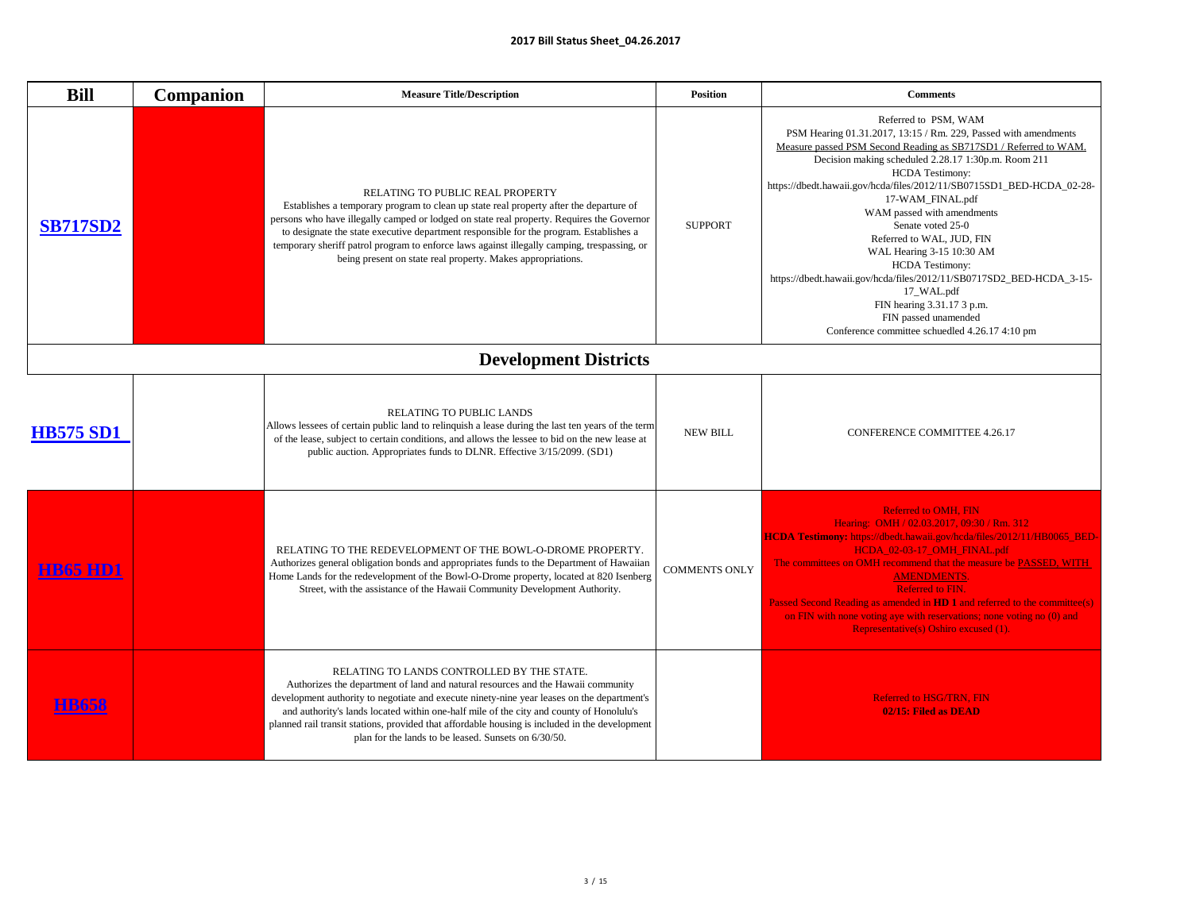| <b>Bill</b>      | <b>Companion</b> | <b>Measure Title/Description</b><br><b>Position</b>                                                                                                                                                                                                                                                                                                                                                                                                                                                      | <b>Comments</b>                                                                                                                                                                                                                                                                                                                                                                                                                                                                                                                                                                                                                                                                |
|------------------|------------------|----------------------------------------------------------------------------------------------------------------------------------------------------------------------------------------------------------------------------------------------------------------------------------------------------------------------------------------------------------------------------------------------------------------------------------------------------------------------------------------------------------|--------------------------------------------------------------------------------------------------------------------------------------------------------------------------------------------------------------------------------------------------------------------------------------------------------------------------------------------------------------------------------------------------------------------------------------------------------------------------------------------------------------------------------------------------------------------------------------------------------------------------------------------------------------------------------|
| <b>SB717SD2</b>  |                  | <b>RELATING TO PUBLIC REAL PROPERTY</b><br>Establishes a temporary program to clean up state real property after the departure of<br>persons who have illegally camped or lodged on state real property. Requires the Governor<br><b>SUPPORT</b><br>to designate the state executive department responsible for the program. Establishes a<br>temporary sheriff patrol program to enforce laws against illegally camping, trespassing, or<br>being present on state real property. Makes appropriations. | Referred to PSM, WAM<br>PSM Hearing 01.31.2017, 13:15 / Rm. 229, Passed with amendments<br>Measure passed PSM Second Reading as SB717SD1 / Referred to WAM.<br>Decision making scheduled 2.28.17 1:30p.m. Room 211<br><b>HCDA</b> Testimony:<br>https://dbedt.hawaii.gov/hcda/files/2012/11/SB0715SD1_BED-HCDA_02-28-<br>17-WAM_FINAL.pdf<br>WAM passed with amendments<br>Senate voted 25-0<br>Referred to WAL, JUD, FIN<br>WAL Hearing 3-15 10:30 AM<br><b>HCDA</b> Testimony:<br>https://dbedt.hawaii.gov/hcda/files/2012/11/SB0717SD2_BED-HCDA_3-15-<br>17_WAL.pdf<br>FIN hearing 3.31.17 3 p.m.<br>FIN passed unamended<br>Conference committee schuedled 4.26.17 4:10 pm |
|                  |                  | <b>Development Districts</b>                                                                                                                                                                                                                                                                                                                                                                                                                                                                             |                                                                                                                                                                                                                                                                                                                                                                                                                                                                                                                                                                                                                                                                                |
| <b>HB575 SD1</b> |                  | <b>RELATING TO PUBLIC LANDS</b><br>Allows lessees of certain public land to relinquish a lease during the last ten years of the term<br><b>NEW BILL</b><br>of the lease, subject to certain conditions, and allows the lessee to bid on the new lease at<br>public auction. Appropriates funds to DLNR. Effective 3/15/2099. (SD1)                                                                                                                                                                       | <b>CONFERENCE COMMITTEE 4.26.17</b>                                                                                                                                                                                                                                                                                                                                                                                                                                                                                                                                                                                                                                            |
|                  |                  | RELATING TO THE REDEVELOPMENT OF THE BOWL-O-DROME PROPERTY.<br>Authorizes general obligation bonds and appropriates funds to the Department of Hawaiian<br><b>COMMENTS ONLY</b><br>Home Lands for the redevelopment of the Bowl-O-Drome property, located at 820 Isenberg<br>Street, with the assistance of the Hawaii Community Development Authority.                                                                                                                                                  | <b>Referred to OMH, FIN</b><br>Hearing: OMH / 02.03.2017, 09:30 / Rm. 312<br>HCDA Testimony: https://dbedt.hawaii.gov/hcda/files/2012/11/HB0065_BED-<br>HCDA_02-03-17_OMH_FINAL.pdf<br>The committees on OMH recommend that the measure be PASSED, WITH<br><b>AMENDMENTS.</b><br><b>Referred to FIN.</b><br>Passed Second Reading as amended in <b>HD 1</b> and referred to the committee(s)<br>on FIN with none voting aye with reservations; none voting no (0) and<br>Representative(s) Oshiro excused (1).                                                                                                                                                                 |
|                  |                  | RELATING TO LANDS CONTROLLED BY THE STATE.<br>Authorizes the department of land and natural resources and the Hawaii community<br>development authority to negotiate and execute ninety-nine year leases on the department's<br>and authority's lands located within one-half mile of the city and county of Honolulu's<br>planned rail transit stations, provided that affordable housing is included in the development<br>plan for the lands to be leased. Sunsets on 6/30/50.                        | <b>Referred to HSG/TRN, FIN</b><br>02/15: Filed as DEAD                                                                                                                                                                                                                                                                                                                                                                                                                                                                                                                                                                                                                        |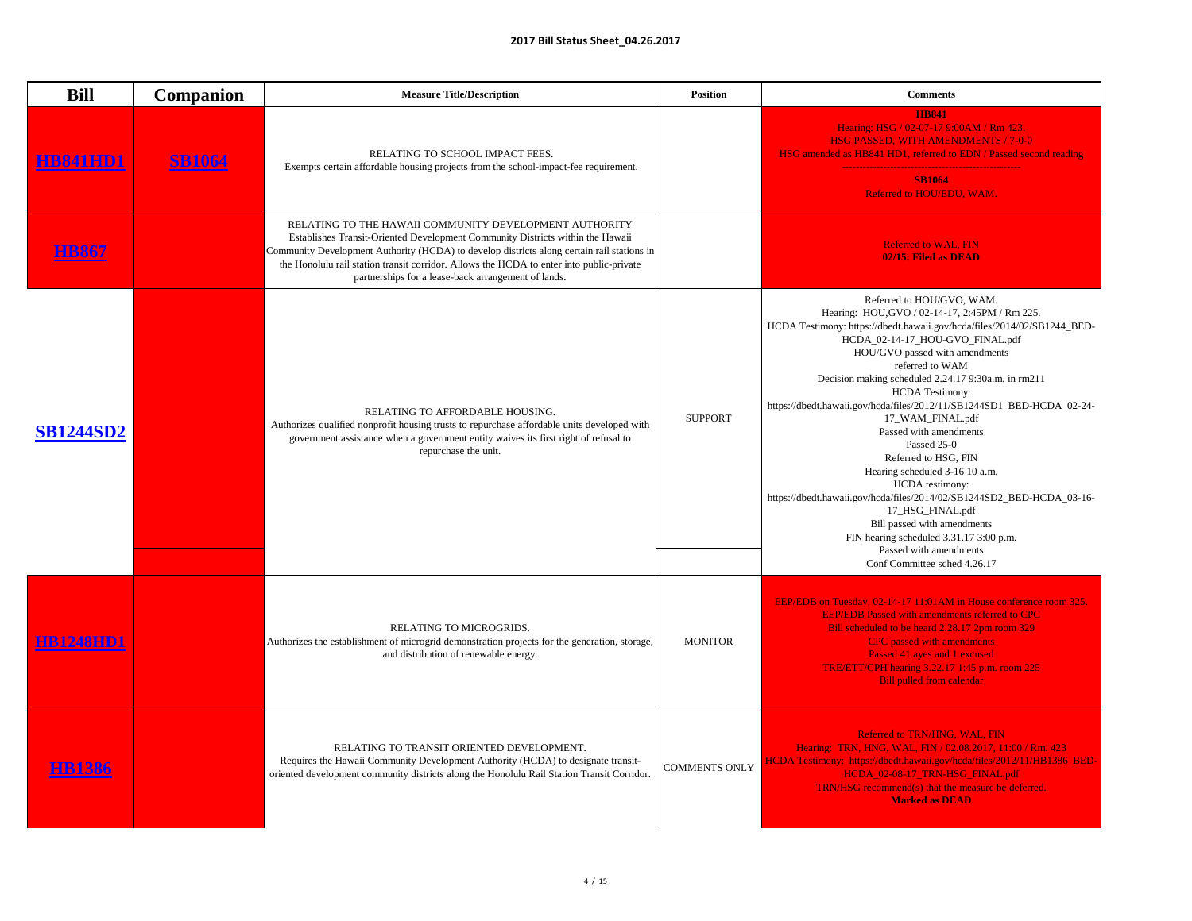| i |  |  |
|---|--|--|
|   |  |  |

| <b>Bill</b>      | <b>Companion</b> | <b>Measure Title/Description</b>                                                                                                                                                                                                                                                                                                                                                          | <b>Position</b>      | <b>Comments</b>                                                                                                                                                                                                                                                                                                                                                                                                                                                                                                                                                                                                                                                                                                                                                                            |
|------------------|------------------|-------------------------------------------------------------------------------------------------------------------------------------------------------------------------------------------------------------------------------------------------------------------------------------------------------------------------------------------------------------------------------------------|----------------------|--------------------------------------------------------------------------------------------------------------------------------------------------------------------------------------------------------------------------------------------------------------------------------------------------------------------------------------------------------------------------------------------------------------------------------------------------------------------------------------------------------------------------------------------------------------------------------------------------------------------------------------------------------------------------------------------------------------------------------------------------------------------------------------------|
|                  | <b>SB1064</b>    | RELATING TO SCHOOL IMPACT FEES.<br>Exempts certain affordable housing projects from the school-impact-fee requirement.                                                                                                                                                                                                                                                                    |                      | <b>HB841</b><br>Hearing: HSG / 02-07-17 9:00AM / Rm 423.<br><b>HSG PASSED, WITH AMENDMENTS / 7-0-0</b><br>HSG amended as HB841 HD1, referred to EDN / Passed second reading<br><b>SB1064</b><br>Referred to HOU/EDU, WAM.                                                                                                                                                                                                                                                                                                                                                                                                                                                                                                                                                                  |
|                  |                  | RELATING TO THE HAWAII COMMUNITY DEVELOPMENT AUTHORITY<br>Establishes Transit-Oriented Development Community Districts within the Hawaii<br>Community Development Authority (HCDA) to develop districts along certain rail stations in<br>the Honolulu rail station transit corridor. Allows the HCDA to enter into public-private<br>partnerships for a lease-back arrangement of lands. |                      | <b>Referred to WAL, FIN</b><br>02/15: Filed as DEAD                                                                                                                                                                                                                                                                                                                                                                                                                                                                                                                                                                                                                                                                                                                                        |
| <b>SB1244SD2</b> |                  | RELATING TO AFFORDABLE HOUSING.<br>Authorizes qualified nonprofit housing trusts to repurchase affordable units developed with<br>government assistance when a government entity waives its first right of refusal to<br>repurchase the unit.                                                                                                                                             | <b>SUPPORT</b>       | Referred to HOU/GVO, WAM.<br>Hearing: HOU, GVO / 02-14-17, 2:45PM / Rm 225.<br>HCDA Testimony: https://dbedt.hawaii.gov/hcda/files/2014/02/SB1244_BED-<br>HCDA_02-14-17_HOU-GVO_FINAL.pdf<br>HOU/GVO passed with amendments<br>referred to WAM<br>Decision making scheduled 2.24.17 9:30a.m. in rm211<br><b>HCDA Testimony:</b><br>https://dbedt.hawaii.gov/hcda/files/2012/11/SB1244SD1_BED-HCDA_02-24-<br>17_WAM_FINAL.pdf<br>Passed with amendments<br>Passed 25-0<br>Referred to HSG, FIN<br>Hearing scheduled 3-16 10 a.m.<br><b>HCDA</b> testimony:<br>https://dbedt.hawaii.gov/hcda/files/2014/02/SB1244SD2_BED-HCDA_03-16-<br>17_HSG_FINAL.pdf<br>Bill passed with amendments<br>FIN hearing scheduled 3.31.17 3:00 p.m.<br>Passed with amendments<br>Conf Committee sched 4.26.17 |
| <b>HB1248HD1</b> |                  | RELATING TO MICROGRIDS.<br>Authorizes the establishment of microgrid demonstration projects for the generation, storage,<br>and distribution of renewable energy.                                                                                                                                                                                                                         | <b>MONITOR</b>       | EEP/EDB on Tuesday, 02-14-17 11:01AM in House conference room 325.<br><b>EEP/EDB Passed with amendments referred to CPC</b><br>Bill scheduled to be heard 2.28.17 2pm room 329<br><b>CPC</b> passed with amendments<br>Passed 41 ayes and 1 excused<br><b>TRE/ETT/CPH hearing 3.22.17 1:45 p.m. room 225</b><br><b>Bill pulled from calendar</b>                                                                                                                                                                                                                                                                                                                                                                                                                                           |
|                  |                  | RELATING TO TRANSIT ORIENTED DEVELOPMENT.<br>Requires the Hawaii Community Development Authority (HCDA) to designate transit-<br>oriented development community districts along the Honolulu Rail Station Transit Corridor.                                                                                                                                                               | <b>COMMENTS ONLY</b> | Referred to TRN/HNG, WAL, FIN<br>Hearing: TRN, HNG, WAL, FIN / 02.08.2017, 11:00 / Rm. 423<br>HCDA Testimony: https://dbedt.hawaii.gov/hcda/files/2012/11/HB1386 BED-<br>HCDA_02-08-17_TRN-HSG_FINAL.pdf<br>TRN/HSG recommend(s) that the measure be deferred.<br><b>Marked as DEAD</b>                                                                                                                                                                                                                                                                                                                                                                                                                                                                                                    |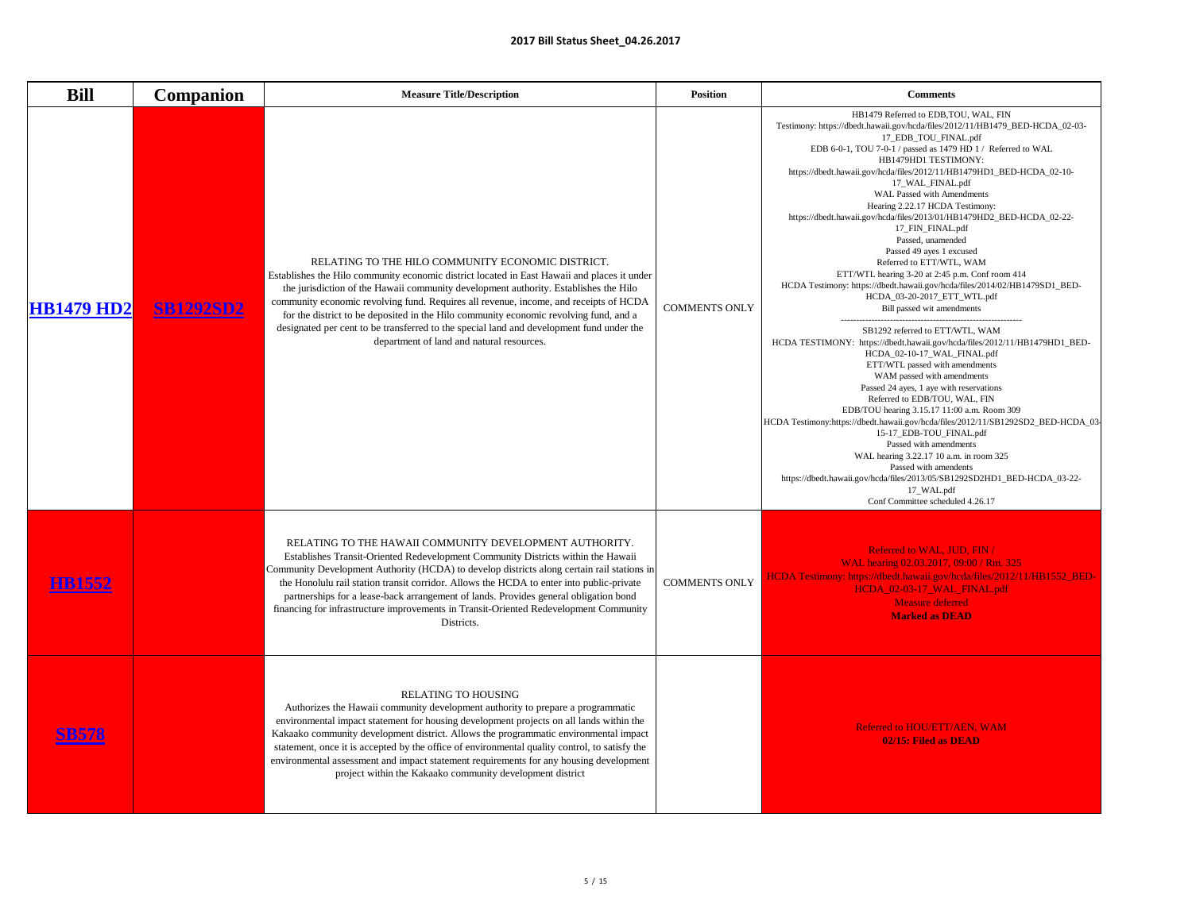| <b>Bill</b>       | <b>Companion</b> | <b>Measure Title/Description</b>                                                                                                                                                                                                                                                                                                                                                                                                                                                                                                                                    | <b>Position</b>      | <b>Comments</b>                                                                                                                                                                                                                                                                                                                                                                                                                                                                                                                                                                                                                                                                                                                                                                                                                                                                                                                                                                                                                                                                                                                                                                                                                                                                                                                                                                                                                                                            |
|-------------------|------------------|---------------------------------------------------------------------------------------------------------------------------------------------------------------------------------------------------------------------------------------------------------------------------------------------------------------------------------------------------------------------------------------------------------------------------------------------------------------------------------------------------------------------------------------------------------------------|----------------------|----------------------------------------------------------------------------------------------------------------------------------------------------------------------------------------------------------------------------------------------------------------------------------------------------------------------------------------------------------------------------------------------------------------------------------------------------------------------------------------------------------------------------------------------------------------------------------------------------------------------------------------------------------------------------------------------------------------------------------------------------------------------------------------------------------------------------------------------------------------------------------------------------------------------------------------------------------------------------------------------------------------------------------------------------------------------------------------------------------------------------------------------------------------------------------------------------------------------------------------------------------------------------------------------------------------------------------------------------------------------------------------------------------------------------------------------------------------------------|
| <b>HB1479 HD2</b> | <b>SB1292SD2</b> | RELATING TO THE HILO COMMUNITY ECONOMIC DISTRICT.<br>Establishes the Hilo community economic district located in East Hawaii and places it under<br>the jurisdiction of the Hawaii community development authority. Establishes the Hilo<br>community economic revolving fund. Requires all revenue, income, and receipts of HCDA<br>for the district to be deposited in the Hilo community economic revolving fund, and a<br>designated per cent to be transferred to the special land and development fund under the<br>department of land and natural resources. | <b>COMMENTS ONLY</b> | HB1479 Referred to EDB, TOU, WAL, FIN<br>Testimony: https://dbedt.hawaii.gov/hcda/files/2012/11/HB1479_BED-HCDA_02-03-<br>17_EDB_TOU_FINAL.pdf<br>EDB 6-0-1, TOU 7-0-1 / passed as 1479 HD 1 / Referred to WAL<br>HB1479HD1 TESTIMONY:<br>https://dbedt.hawaii.gov/hcda/files/2012/11/HB1479HD1_BED-HCDA_02-10-<br>17_WAL_FINAL.pdf<br><b>WAL Passed with Amendments</b><br>Hearing 2.22.17 HCDA Testimony:<br>https://dbedt.hawaii.gov/hcda/files/2013/01/HB1479HD2_BED-HCDA_02-22-<br>17_FIN_FINAL.pdf<br>Passed, unamended<br>Passed 49 ayes 1 excused<br>Referred to ETT/WTL, WAM<br>ETT/WTL hearing 3-20 at 2:45 p.m. Conf room 414<br>HCDA Testimony: https://dbedt.hawaii.gov/hcda/files/2014/02/HB1479SD1_BED-<br>HCDA_03-20-2017_ETT_WTL.pdf<br>Bill passed wit amendments<br>SB1292 referred to ETT/WTL, WAM<br>HCDA TESTIMONY: https://dbedt.hawaii.gov/hcda/files/2012/11/HB1479HD1_BED-<br>HCDA_02-10-17_WAL_FINAL.pdf<br>ETT/WTL passed with amendments<br>WAM passed with amendments<br>Passed 24 ayes, 1 aye with reservations<br>Referred to EDB/TOU, WAL, FIN<br>EDB/TOU hearing 3.15.17 11:00 a.m. Room 309<br>HCDA Testimony:https://dbedt.hawaii.gov/hcda/files/2012/11/SB1292SD2_BED-HCDA_03-<br>15-17_EDB-TOU_FINAL.pdf<br>Passed with amendments<br>WAL hearing 3.22.17 10 a.m. in room 325<br>Passed with amendents<br>https://dbedt.hawaii.gov/hcda/files/2013/05/SB1292SD2HD1_BED-HCDA_03-22-<br>17_WAL.pdf<br>Conf Committee scheduled 4.26.17 |
| <u> FIB1552</u>   |                  | RELATING TO THE HAWAII COMMUNITY DEVELOPMENT AUTHORITY.<br>Establishes Transit-Oriented Redevelopment Community Districts within the Hawaii<br>Community Development Authority (HCDA) to develop districts along certain rail stations in<br>the Honolulu rail station transit corridor. Allows the HCDA to enter into public-private<br>partnerships for a lease-back arrangement of lands. Provides general obligation bond<br>financing for infrastructure improvements in Transit-Oriented Redevelopment Community<br>Districts.                                | <b>COMMENTS ONLY</b> | <b>Referred to WAL, JUD, FIN /</b><br>WAL hearing 02.03.2017, 09:00 / Rm. 325<br>HCDA Testimony: https://dbedt.hawaii.gov/hcda/files/2012/11/HB1552_BED-<br>HCDA_02-03-17_WAL_FINAL.pdf<br><b>Measure deferred</b><br><b>Marked as DEAD</b>                                                                                                                                                                                                                                                                                                                                                                                                                                                                                                                                                                                                                                                                                                                                                                                                                                                                                                                                                                                                                                                                                                                                                                                                                                |
|                   |                  | <b>RELATING TO HOUSING</b><br>Authorizes the Hawaii community development authority to prepare a programmatic<br>environmental impact statement for housing development projects on all lands within the<br>Kakaako community development district. Allows the programmatic environmental impact<br>statement, once it is accepted by the office of environmental quality control, to satisfy the<br>environmental assessment and impact statement requirements for any housing development<br>project within the Kakaako community development district            |                      | <b>Referred to HOU/ETT/AEN, WAM</b><br>02/15: Filed as DEAD                                                                                                                                                                                                                                                                                                                                                                                                                                                                                                                                                                                                                                                                                                                                                                                                                                                                                                                                                                                                                                                                                                                                                                                                                                                                                                                                                                                                                |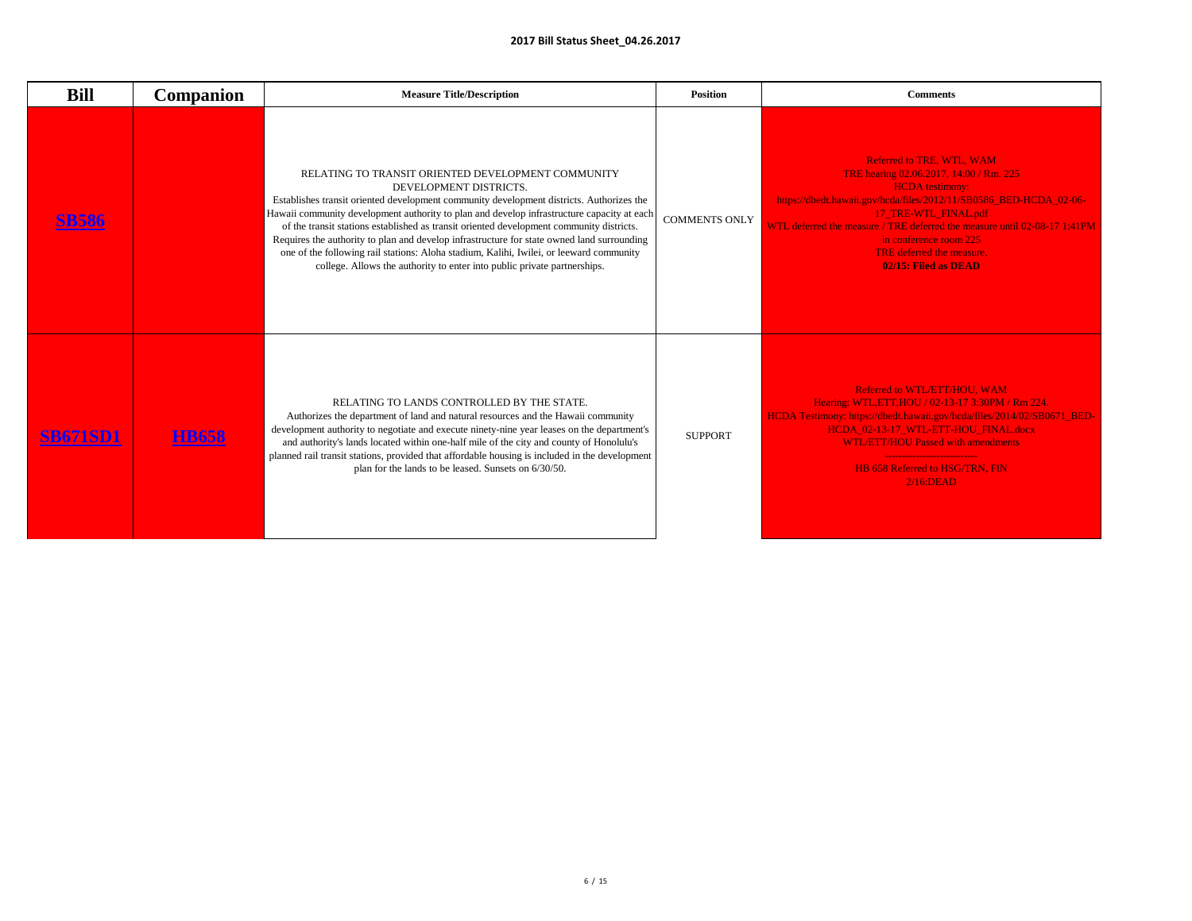| <b>Bill</b>     | <b>Companion</b> | <b>Measure Title/Description</b>                                                                                                                                                                                                                                                                                                                                                                                                                                                                                                                                                                                                        | <b>Position</b>      | <b>Comments</b>                                                                                                                                                                                                                                                                                                                                                 |
|-----------------|------------------|-----------------------------------------------------------------------------------------------------------------------------------------------------------------------------------------------------------------------------------------------------------------------------------------------------------------------------------------------------------------------------------------------------------------------------------------------------------------------------------------------------------------------------------------------------------------------------------------------------------------------------------------|----------------------|-----------------------------------------------------------------------------------------------------------------------------------------------------------------------------------------------------------------------------------------------------------------------------------------------------------------------------------------------------------------|
|                 |                  | RELATING TO TRANSIT ORIENTED DEVELOPMENT COMMUNITY<br>DEVELOPMENT DISTRICTS.<br>Establishes transit oriented development community development districts. Authorizes the<br>Hawaii community development authority to plan and develop infrastructure capacity at each<br>of the transit stations established as transit oriented development community districts.<br>Requires the authority to plan and develop infrastructure for state owned land surrounding<br>one of the following rail stations: Aloha stadium, Kalihi, Iwilei, or leeward community<br>college. Allows the authority to enter into public private partnerships. | <b>COMMENTS ONLY</b> | <b>Referred to TRE, WTL, WAM</b><br>TRE hearing 02.06.2017, 14:00 / Rm. 225<br><b>HCDA</b> testimony:<br>https://dbedt.hawaii.gov/hcda/files/2012/11/SB0586_BED-HCDA_02-06-<br>17_TRE-WTL_FINAL.pdf<br>WTL deferred the measure / TRE deferred the measure until 02-08-17 1:41PM<br>in conference room 225<br>TRE deferred the measure.<br>02/15: Filed as DEAD |
| <b>SB671SD1</b> | <b>HB658</b>     | RELATING TO LANDS CONTROLLED BY THE STATE.<br>Authorizes the department of land and natural resources and the Hawaii community<br>development authority to negotiate and execute ninety-nine year leases on the department's<br>and authority's lands located within one-half mile of the city and county of Honolulu's<br>planned rail transit stations, provided that affordable housing is included in the development  <br>plan for the lands to be leased. Sunsets on 6/30/50.                                                                                                                                                     | <b>SUPPORT</b>       | Referred to WTL/ETT/HOU, WAM<br>Hearing: WTL, ETT, HOU / 02-13-17 3:30PM / Rm 224.<br>HCDA Testimony: https://dbedt.hawaii.gov/hcda/files/2014/02/SB0671_BED-<br>HCDA_02-13-17_WTL-ETT-HOU_FINAL.docx<br><b>WTL/ETT/HOU Passed with amendments</b><br><b>HB 658 Referred to HSG/TRN. FIN</b><br>$2/16$ :DEAD                                                    |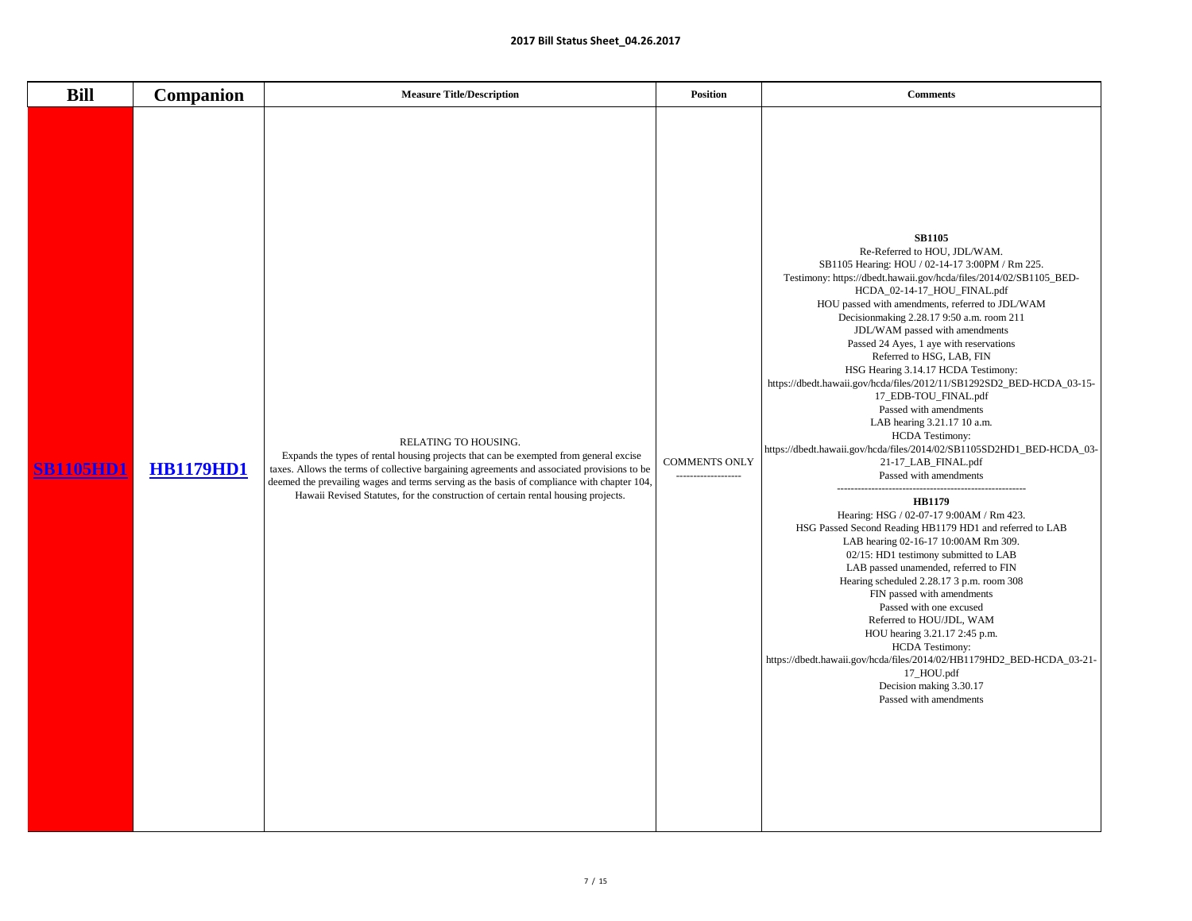| <b>Bill</b>      | <b>Companion</b> | <b>Measure Title/Description</b>                                                                                                                                                                                                                                                                                                                                                                | <b>Position</b>                             | <b>Comments</b>                                                                                                                                                                                                                                                                                                                                                                                                                                                                                                                                                                                                                                                                                                                                                                                                                                                                                                                                                                                                                                                                                                                                                                                                                                                                                                                                                  |
|------------------|------------------|-------------------------------------------------------------------------------------------------------------------------------------------------------------------------------------------------------------------------------------------------------------------------------------------------------------------------------------------------------------------------------------------------|---------------------------------------------|------------------------------------------------------------------------------------------------------------------------------------------------------------------------------------------------------------------------------------------------------------------------------------------------------------------------------------------------------------------------------------------------------------------------------------------------------------------------------------------------------------------------------------------------------------------------------------------------------------------------------------------------------------------------------------------------------------------------------------------------------------------------------------------------------------------------------------------------------------------------------------------------------------------------------------------------------------------------------------------------------------------------------------------------------------------------------------------------------------------------------------------------------------------------------------------------------------------------------------------------------------------------------------------------------------------------------------------------------------------|
| <b>SB1105HD1</b> | <b>HB1179HD1</b> | RELATING TO HOUSING.<br>Expands the types of rental housing projects that can be exempted from general excise<br>taxes. Allows the terms of collective bargaining agreements and associated provisions to be<br>deemed the prevailing wages and terms serving as the basis of compliance with chapter 104,<br>Hawaii Revised Statutes, for the construction of certain rental housing projects. | <b>COMMENTS ONLY</b><br>------------------- | <b>SB1105</b><br>Re-Referred to HOU, JDL/WAM.<br>SB1105 Hearing: HOU / 02-14-17 3:00PM / Rm 225.<br>Testimony: https://dbedt.hawaii.gov/hcda/files/2014/02/SB1105_BED-<br>HCDA_02-14-17_HOU_FINAL.pdf<br>HOU passed with amendments, referred to JDL/WAM<br>Decisionmaking 2.28.17 9:50 a.m. room 211<br>JDL/WAM passed with amendments<br>Passed 24 Ayes, 1 aye with reservations<br>Referred to HSG, LAB, FIN<br>HSG Hearing 3.14.17 HCDA Testimony:<br>https://dbedt.hawaii.gov/hcda/files/2012/11/SB1292SD2_BED-HCDA_03-15-<br>17_EDB-TOU_FINAL.pdf<br>Passed with amendments<br>LAB hearing 3.21.17 10 a.m.<br><b>HCDA Testimony:</b><br>https://dbedt.hawaii.gov/hcda/files/2014/02/SB1105SD2HD1_BED-HCDA_03-<br>21-17_LAB_FINAL.pdf<br>Passed with amendments<br><b>HB1179</b><br>Hearing: HSG / 02-07-17 9:00AM / Rm 423.<br>HSG Passed Second Reading HB1179 HD1 and referred to LAB<br>LAB hearing 02-16-17 10:00AM Rm 309.<br>02/15: HD1 testimony submitted to LAB<br>LAB passed unamended, referred to FIN<br>Hearing scheduled 2.28.17 3 p.m. room 308<br>FIN passed with amendments<br>Passed with one excused<br>Referred to HOU/JDL, WAM<br>HOU hearing 3.21.17 2:45 p.m.<br><b>HCDA Testimony:</b><br>https://dbedt.hawaii.gov/hcda/files/2014/02/HB1179HD2_BED-HCDA_03-21-<br>17_HOU.pdf<br>Decision making 3.30.17<br>Passed with amendments |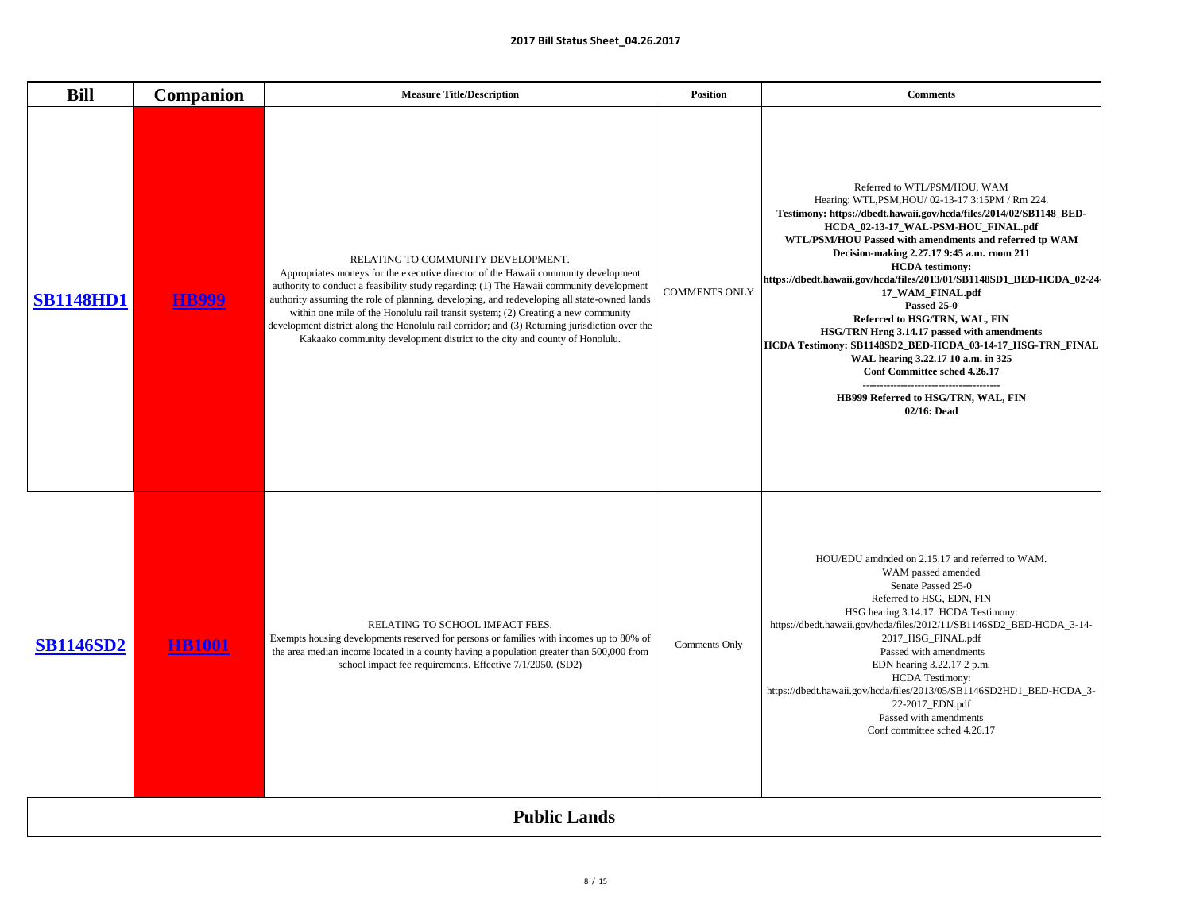| i<br>l | i<br>l |  |  |
|--------|--------|--|--|
|        |        |  |  |

| <b>Bill</b>      | <b>Companion</b> | <b>Measure Title/Description</b>                                                                                                                                                                                                                                                                                                                                                                                                                                                                                                                                                         | <b>Position</b>      | <b>Comments</b>                                                                                                                                                                                                                                                                                                                                                                                                                                                                                                                                                                                                                                                                                                                      |
|------------------|------------------|------------------------------------------------------------------------------------------------------------------------------------------------------------------------------------------------------------------------------------------------------------------------------------------------------------------------------------------------------------------------------------------------------------------------------------------------------------------------------------------------------------------------------------------------------------------------------------------|----------------------|--------------------------------------------------------------------------------------------------------------------------------------------------------------------------------------------------------------------------------------------------------------------------------------------------------------------------------------------------------------------------------------------------------------------------------------------------------------------------------------------------------------------------------------------------------------------------------------------------------------------------------------------------------------------------------------------------------------------------------------|
| <b>SB1148HD1</b> | <b>HB999</b>     | RELATING TO COMMUNITY DEVELOPMENT.<br>Appropriates moneys for the executive director of the Hawaii community development<br>authority to conduct a feasibility study regarding: (1) The Hawaii community development<br>authority assuming the role of planning, developing, and redeveloping all state-owned lands<br>within one mile of the Honolulu rail transit system; (2) Creating a new community<br>development district along the Honolulu rail corridor; and (3) Returning jurisdiction over the<br>Kakaako community development district to the city and county of Honolulu. | <b>COMMENTS ONLY</b> | Referred to WTL/PSM/HOU, WAM<br>Hearing: WTL, PSM, HOU/ 02-13-17 3:15PM / Rm 224.<br>Testimony: https://dbedt.hawaii.gov/hcda/files/2014/02/SB1148_BED-<br>HCDA_02-13-17_WAL-PSM-HOU_FINAL.pdf<br>WTL/PSM/HOU Passed with amendments and referred tp WAM<br>Decision-making 2.27.17 9:45 a.m. room 211<br><b>HCDA</b> testimony:<br>https://dbedt.hawaii.gov/hcda/files/2013/01/SB1148SD1_BED-HCDA_02-24<br>17_WAM_FINAL.pdf<br><b>Passed 25-0</b><br>Referred to HSG/TRN, WAL, FIN<br>HSG/TRN Hrng 3.14.17 passed with amendments<br> HCDA Testimony: SB1148SD2_BED-HCDA_03-14-17_HSG-TRN_FINAL <br>WAL hearing 3.22.17 10 a.m. in 325<br><b>Conf Committee sched 4.26.17</b><br>HB999 Referred to HSG/TRN, WAL, FIN<br>02/16: Dead |
| <b>SB1146SD2</b> | <b>HB1001</b>    | RELATING TO SCHOOL IMPACT FEES.<br>Exempts housing developments reserved for persons or families with incomes up to 80% of<br>the area median income located in a county having a population greater than 500,000 from<br>school impact fee requirements. Effective 7/1/2050. (SD2)                                                                                                                                                                                                                                                                                                      | <b>Comments Only</b> | HOU/EDU amdnded on 2.15.17 and referred to WAM.<br>WAM passed amended<br>Senate Passed 25-0<br>Referred to HSG, EDN, FIN<br>HSG hearing 3.14.17. HCDA Testimony:<br>https://dbedt.hawaii.gov/hcda/files/2012/11/SB1146SD2_BED-HCDA_3-14-<br>2017_HSG_FINAL.pdf<br>Passed with amendments<br>EDN hearing 3.22.17 2 p.m.<br><b>HCDA Testimony:</b><br>https://dbedt.hawaii.gov/hcda/files/2013/05/SB1146SD2HD1_BED-HCDA_3-<br>22-2017_EDN.pdf<br>Passed with amendments<br>Conf committee sched 4.26.17                                                                                                                                                                                                                                |
|                  |                  | <b>Public Lands</b>                                                                                                                                                                                                                                                                                                                                                                                                                                                                                                                                                                      |                      |                                                                                                                                                                                                                                                                                                                                                                                                                                                                                                                                                                                                                                                                                                                                      |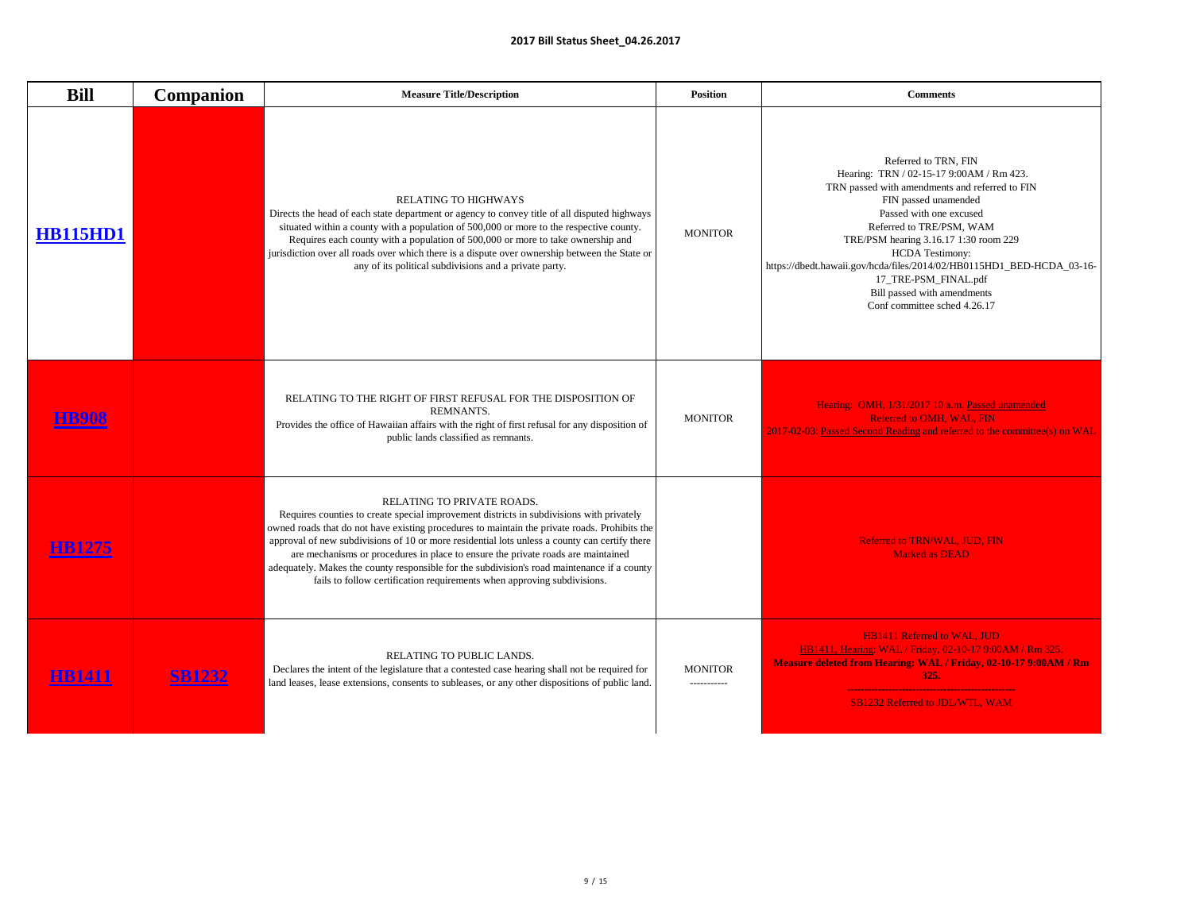| <b>Bill</b>     | <b>Companion</b> | <b>Measure Title/Description</b>                                                                                                                                                                                                                                                                                                                                                                                                                                                                                                                                                              | <b>Position</b>               | <b>Comments</b>                                                                                                                                                                                                                                                                                                                                                                                                                      |
|-----------------|------------------|-----------------------------------------------------------------------------------------------------------------------------------------------------------------------------------------------------------------------------------------------------------------------------------------------------------------------------------------------------------------------------------------------------------------------------------------------------------------------------------------------------------------------------------------------------------------------------------------------|-------------------------------|--------------------------------------------------------------------------------------------------------------------------------------------------------------------------------------------------------------------------------------------------------------------------------------------------------------------------------------------------------------------------------------------------------------------------------------|
| <b>HB115HD1</b> |                  | <b>RELATING TO HIGHWAYS</b><br>Directs the head of each state department or agency to convey title of all disputed highways<br>situated within a county with a population of 500,000 or more to the respective county.<br>Requires each county with a population of 500,000 or more to take ownership and<br>jurisdiction over all roads over which there is a dispute over ownership between the State or<br>any of its political subdivisions and a private party.                                                                                                                          | <b>MONITOR</b>                | Referred to TRN, FIN<br>Hearing: TRN / 02-15-17 9:00AM / Rm 423.<br>TRN passed with amendments and referred to FIN<br>FIN passed unamended<br>Passed with one excused<br>Referred to TRE/PSM, WAM<br>TRE/PSM hearing 3.16.17 1:30 room 229<br><b>HCDA Testimony:</b><br>https://dbedt.hawaii.gov/hcda/files/2014/02/HB0115HD1_BED-HCDA_03-16-<br>17_TRE-PSM_FINAL.pdf<br>Bill passed with amendments<br>Conf committee sched 4.26.17 |
|                 |                  | RELATING TO THE RIGHT OF FIRST REFUSAL FOR THE DISPOSITION OF<br><b>REMNANTS.</b><br>Provides the office of Hawaiian affairs with the right of first refusal for any disposition of<br>public lands classified as remnants.                                                                                                                                                                                                                                                                                                                                                                   | <b>MONITOR</b>                | Hearing: OMH, 1/31/2017 10 a.m. Passed unamended<br>Referred to OMH, WAL, FIN<br>2017-02-03: Passed Second Reading and referred to the committee(s) on WAL                                                                                                                                                                                                                                                                           |
| <b>HB1275</b>   |                  | <b>RELATING TO PRIVATE ROADS.</b><br>Requires counties to create special improvement districts in subdivisions with privately<br>owned roads that do not have existing procedures to maintain the private roads. Prohibits the<br>approval of new subdivisions of 10 or more residential lots unless a county can certify there<br>are mechanisms or procedures in place to ensure the private roads are maintained<br>adequately. Makes the county responsible for the subdivision's road maintenance if a county<br>fails to follow certification requirements when approving subdivisions. |                               | <b>Referred to TRN/WAL, JUD, FIN</b><br><b>Marked as DEAD</b>                                                                                                                                                                                                                                                                                                                                                                        |
| <b>HB1411</b>   | <b>SB1232</b>    | RELATING TO PUBLIC LANDS.<br>Declares the intent of the legislature that a contested case hearing shall not be required for<br>land leases, lease extensions, consents to subleases, or any other dispositions of public land.                                                                                                                                                                                                                                                                                                                                                                | <b>MONITOR</b><br>----------- | <b>HB1411 Referred to WAL, JUD</b><br>HB1411, Hearing: WAL / Friday, 02-10-17 9:00AM / Rm 325.<br>Measure deleted from Hearing: WAL / Friday, 02-10-17 9:00AM / Rm<br>325.<br><b>SB1232 Referred to JDL/WTL, WAM</b>                                                                                                                                                                                                                 |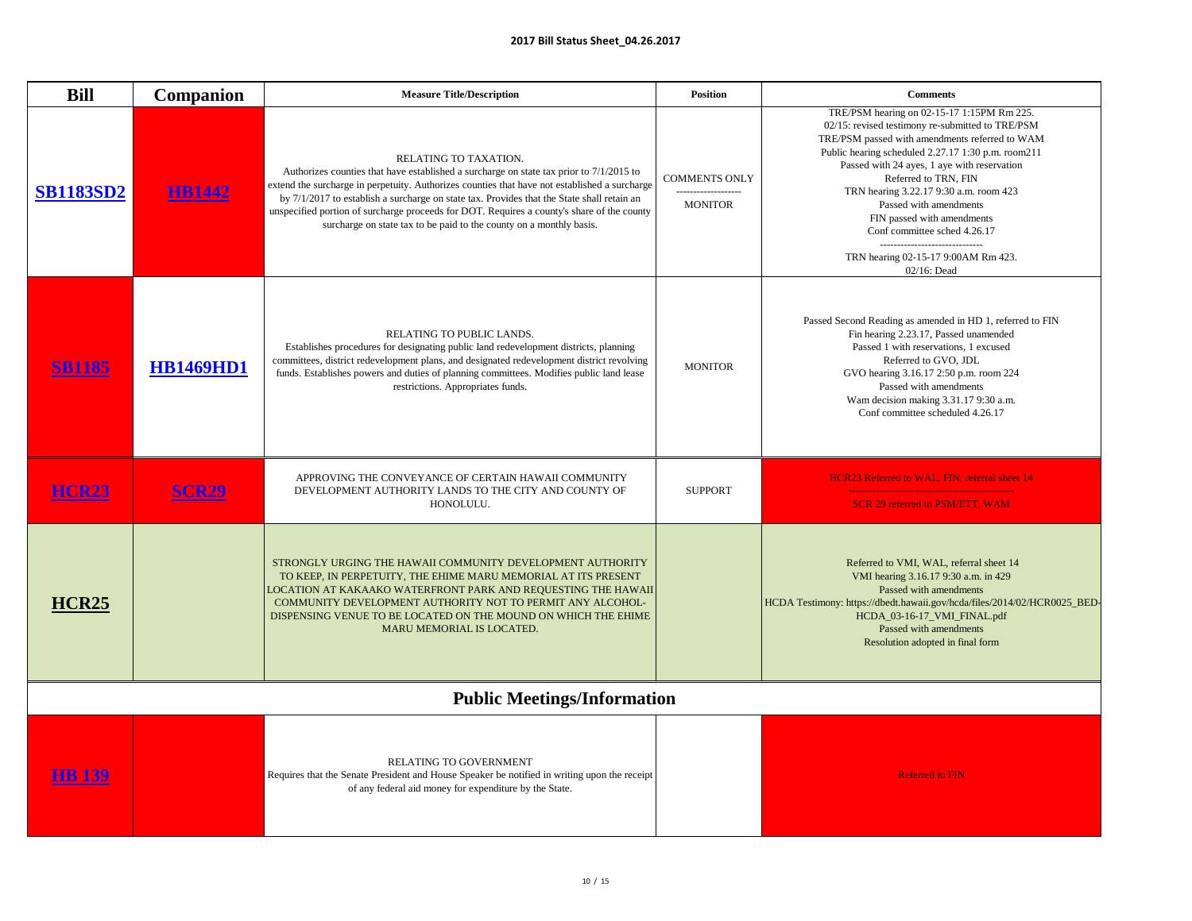| <b>Bill</b>      | <b>Companion</b> | <b>Measure Title/Description</b>                                                                                                                                                                                                                                                                                                                                                                                                                                                     | <b>Position</b>                                               | <b>Comments</b>                                                                                                                                                                                                                                                                                                                                                                                                                                                                                         |
|------------------|------------------|--------------------------------------------------------------------------------------------------------------------------------------------------------------------------------------------------------------------------------------------------------------------------------------------------------------------------------------------------------------------------------------------------------------------------------------------------------------------------------------|---------------------------------------------------------------|---------------------------------------------------------------------------------------------------------------------------------------------------------------------------------------------------------------------------------------------------------------------------------------------------------------------------------------------------------------------------------------------------------------------------------------------------------------------------------------------------------|
| <b>SB1183SD2</b> | <b>HB1442</b>    | RELATING TO TAXATION.<br>Authorizes counties that have established a surcharge on state tax prior to 7/1/2015 to<br>extend the surcharge in perpetuity. Authorizes counties that have not established a surcharge<br>by 7/1/2017 to establish a surcharge on state tax. Provides that the State shall retain an<br>unspecified portion of surcharge proceeds for DOT. Requires a county's share of the county<br>surcharge on state tax to be paid to the county on a monthly basis. | <b>COMMENTS ONLY</b><br>-------------------<br><b>MONITOR</b> | TRE/PSM hearing on 02-15-17 1:15PM Rm 225.<br>02/15: revised testimony re-submitted to TRE/PSM<br>TRE/PSM passed with amendments referred to WAM<br>Public hearing scheduled 2.27.17 1:30 p.m. room211<br>Passed with 24 ayes, 1 aye with reservation<br>Referred to TRN, FIN<br>TRN hearing 3.22.17 9:30 a.m. room 423<br>Passed with amendments<br>FIN passed with amendments<br>Conf committee sched 4.26.17<br>------------------------------<br>TRN hearing 02-15-17 9:00AM Rm 423.<br>02/16: Dead |
|                  | <b>HB1469HD1</b> | RELATING TO PUBLIC LANDS.<br>Establishes procedures for designating public land redevelopment districts, planning<br>committees, district redevelopment plans, and designated redevelopment district revolving<br>funds. Establishes powers and duties of planning committees. Modifies public land lease<br>restrictions. Appropriates funds.                                                                                                                                       | <b>MONITOR</b>                                                | Passed Second Reading as amended in HD 1, referred to FIN<br>Fin hearing 2.23.17, Passed unamended<br>Passed 1 with reservations, 1 excused<br>Referred to GVO, JDL<br>GVO hearing 3.16.17 2:50 p.m. room 224<br>Passed with amendments<br>Wam decision making 3.31.17 9:30 a.m.<br>Conf committee scheduled 4.26.17                                                                                                                                                                                    |
| <b>HCR23</b>     | <b>SCR29</b>     | APPROVING THE CONVEYANCE OF CERTAIN HAWAII COMMUNITY<br>DEVELOPMENT AUTHORITY LANDS TO THE CITY AND COUNTY OF<br>HONOLULU.                                                                                                                                                                                                                                                                                                                                                           | <b>SUPPORT</b>                                                | HCR23 Referred to WAL, FIN, referral sheet 14<br>SCR 29 referred to PSM/ETT, WAM                                                                                                                                                                                                                                                                                                                                                                                                                        |
| HCR25            |                  | STRONGLY URGING THE HAWAII COMMUNITY DEVELOPMENT AUTHORITY<br>TO KEEP, IN PERPETUITY, THE EHIME MARU MEMORIAL AT ITS PRESENT<br>LOCATION AT KAKAAKO WATERFRONT PARK AND REQUESTING THE HAWAII<br>COMMUNITY DEVELOPMENT AUTHORITY NOT TO PERMIT ANY ALCOHOL-<br>DISPENSING VENUE TO BE LOCATED ON THE MOUND ON WHICH THE EHIME<br>MARU MEMORIAL IS LOCATED.                                                                                                                           |                                                               | Referred to VMI, WAL, referral sheet 14<br>VMI hearing 3.16.17 9:30 a.m. in 429<br>Passed with amendments<br>HCDA Testimony: https://dbedt.hawaii.gov/hcda/files/2014/02/HCR0025_BED-<br>HCDA_03-16-17_VMI_FINAL.pdf<br>Passed with amendments<br>Resolution adopted in final form                                                                                                                                                                                                                      |
|                  |                  | <b>Public Meetings/Information</b>                                                                                                                                                                                                                                                                                                                                                                                                                                                   |                                                               |                                                                                                                                                                                                                                                                                                                                                                                                                                                                                                         |
| <u>HB 139</u>    |                  | <b>RELATING TO GOVERNMENT</b><br>Requires that the Senate President and House Speaker be notified in writing upon the receipt<br>of any federal aid money for expenditure by the State.                                                                                                                                                                                                                                                                                              |                                                               | <b>Referred to FIN</b>                                                                                                                                                                                                                                                                                                                                                                                                                                                                                  |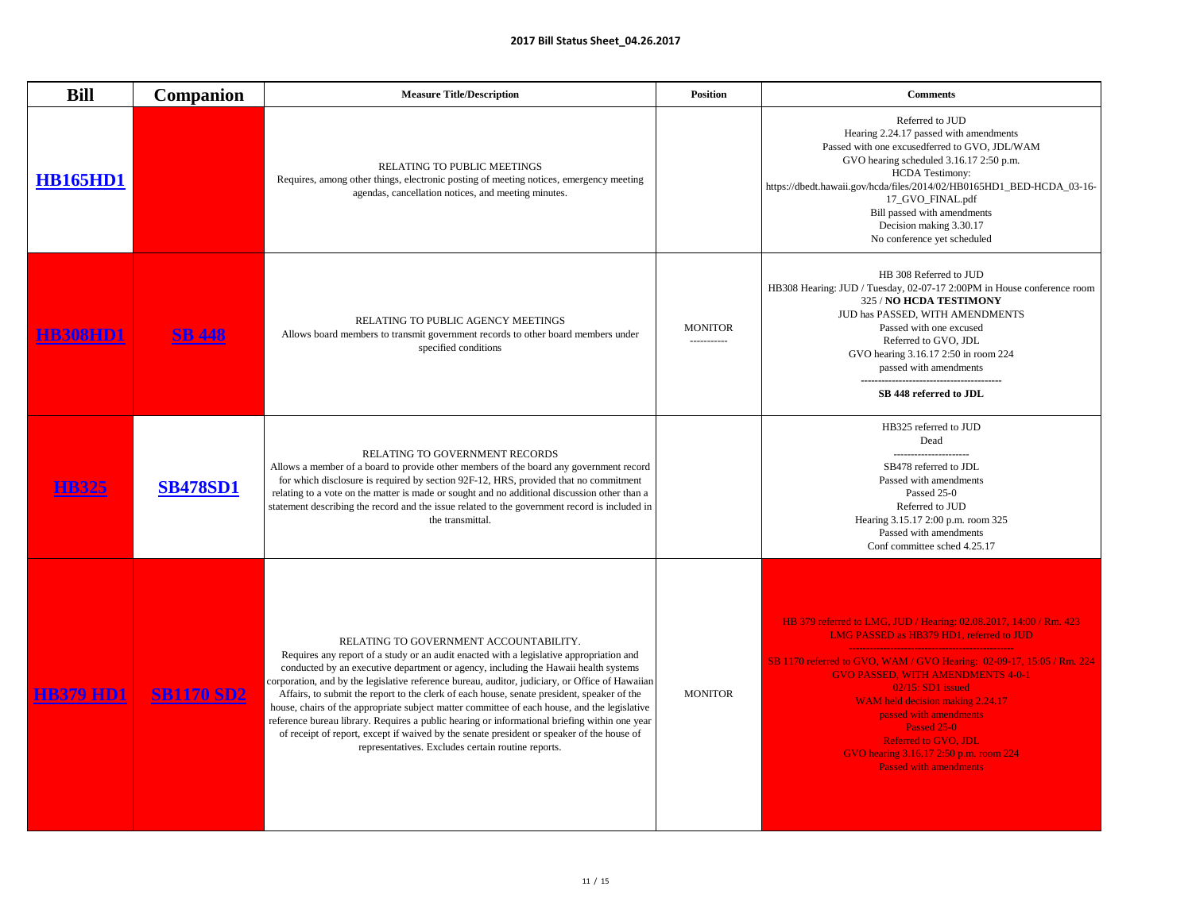| I<br>֡֡֡֡֡֡<br>I<br>i<br>l |  |  |
|----------------------------|--|--|
|                            |  |  |

| <b>Bill</b>      | <b>Companion</b>  | <b>Measure Title/Description</b>                                                                                                                                                                                                                                                                                                                                                                                                                                                                                                                                                                                                                                                                                                                                              | <b>Position</b>                | <b>Comments</b>                                                                                                                                                                                                                                                                                                                                                                                                                                    |
|------------------|-------------------|-------------------------------------------------------------------------------------------------------------------------------------------------------------------------------------------------------------------------------------------------------------------------------------------------------------------------------------------------------------------------------------------------------------------------------------------------------------------------------------------------------------------------------------------------------------------------------------------------------------------------------------------------------------------------------------------------------------------------------------------------------------------------------|--------------------------------|----------------------------------------------------------------------------------------------------------------------------------------------------------------------------------------------------------------------------------------------------------------------------------------------------------------------------------------------------------------------------------------------------------------------------------------------------|
| <b>HB165HD1</b>  |                   | <b>RELATING TO PUBLIC MEETINGS</b><br>Requires, among other things, electronic posting of meeting notices, emergency meeting<br>agendas, cancellation notices, and meeting minutes.                                                                                                                                                                                                                                                                                                                                                                                                                                                                                                                                                                                           |                                | Referred to JUD<br>Hearing 2.24.17 passed with amendments<br>Passed with one excusedferred to GVO, JDL/WAM<br>GVO hearing scheduled 3.16.17 2:50 p.m.<br><b>HCDA</b> Testimony:<br>https://dbedt.hawaii.gov/hcda/files/2014/02/HB0165HD1_BED-HCDA_03-16-<br>17_GVO_FINAL.pdf<br>Bill passed with amendments<br>Decision making 3.30.17<br>No conference yet scheduled                                                                              |
|                  | <b>SB 448</b>     | RELATING TO PUBLIC AGENCY MEETINGS<br>Allows board members to transmit government records to other board members under<br>specified conditions                                                                                                                                                                                                                                                                                                                                                                                                                                                                                                                                                                                                                                | <b>MONITOR</b><br>------------ | HB 308 Referred to JUD<br>HB308 Hearing: JUD / Tuesday, 02-07-17 2:00PM in House conference room<br>325 / NO HCDA TESTIMONY<br>JUD has PASSED, WITH AMENDMENTS<br>Passed with one excused<br>Referred to GVO, JDL<br>GVO hearing 3.16.17 2:50 in room 224<br>passed with amendments<br>SB 448 referred to JDL                                                                                                                                      |
|                  | <b>SB478SD1</b>   | <b>RELATING TO GOVERNMENT RECORDS</b><br>Allows a member of a board to provide other members of the board any government record<br>for which disclosure is required by section 92F-12, HRS, provided that no commitment<br>relating to a vote on the matter is made or sought and no additional discussion other than a<br>statement describing the record and the issue related to the government record is included in<br>the transmittal.                                                                                                                                                                                                                                                                                                                                  |                                | HB325 referred to JUD<br>Dead<br>---------------------<br>SB478 referred to JDL<br>Passed with amendments<br>Passed 25-0<br>Referred to JUD<br>Hearing 3.15.17 2:00 p.m. room 325<br>Passed with amendments<br>Conf committee sched 4.25.17                                                                                                                                                                                                        |
| <b>HB379 HD1</b> | <b>SB1170 SD2</b> | RELATING TO GOVERNMENT ACCOUNTABILITY.<br>Requires any report of a study or an audit enacted with a legislative appropriation and<br>conducted by an executive department or agency, including the Hawaii health systems<br>corporation, and by the legislative reference bureau, auditor, judiciary, or Office of Hawaiian<br>Affairs, to submit the report to the clerk of each house, senate president, speaker of the<br>house, chairs of the appropriate subject matter committee of each house, and the legislative<br>reference bureau library. Requires a public hearing or informational briefing within one year<br>of receipt of report, except if waived by the senate president or speaker of the house of<br>representatives. Excludes certain routine reports. | <b>MONITOR</b>                 | HB 379 referred to LMG, JUD / Hearing: 02.08.2017, 14:00 / Rm. 423<br>LMG PASSED as HB379 HD1, referred to JUD<br>SB 1170 referred to GVO, WAM / GVO Hearing: 02-09-17, 15:05 / Rm. 224<br><b>GVO PASSED, WITH AMENDMENTS 4-0-1</b><br>$02/15$ : SD1 issued<br>WAM held decision making 2.24.17<br>passed with amendments<br>Passed 25-0<br><b>Referred to GVO, JDL</b><br>GVO hearing 3.16.17 2:50 p.m. room 224<br><b>Passed with amendments</b> |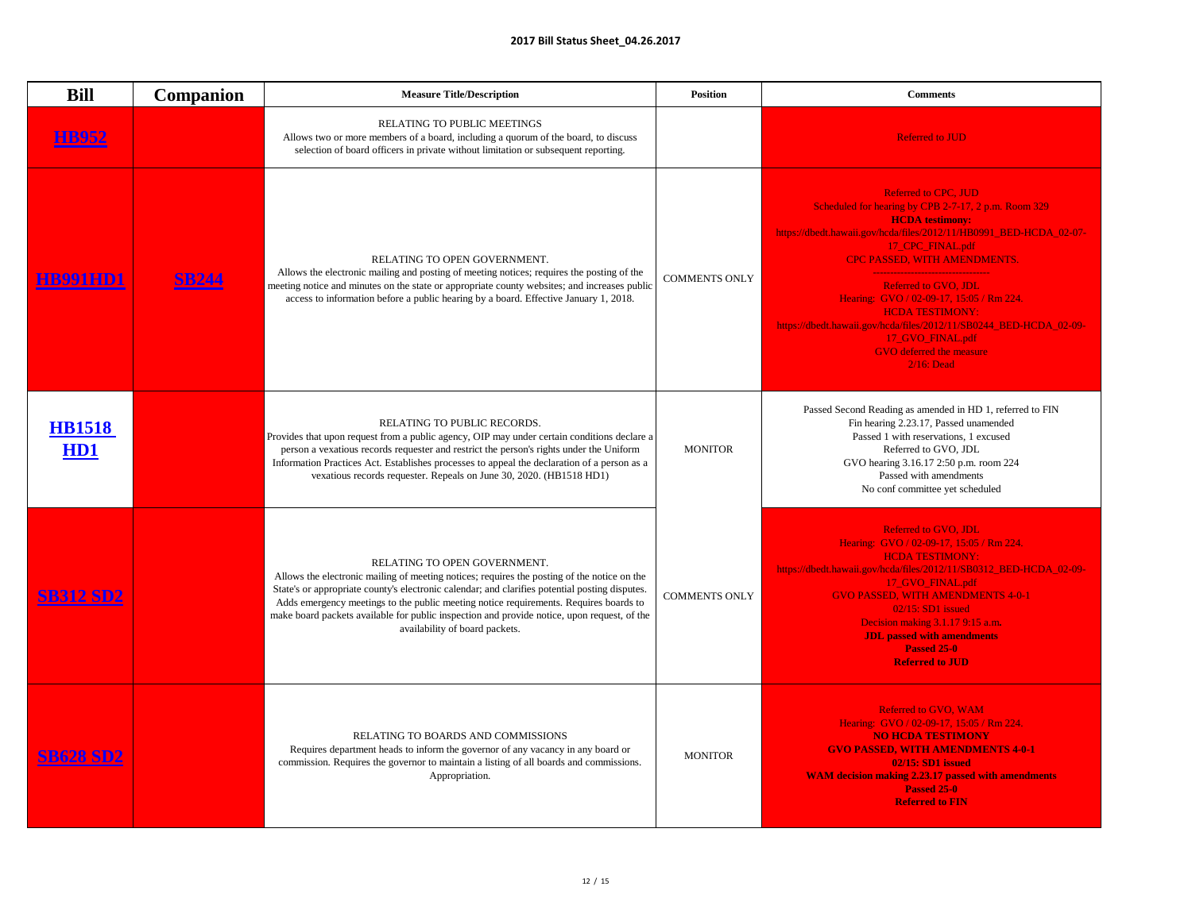| <b>Bill</b>                   | <b>Companion</b> | <b>Measure Title/Description</b>                                                                                                                                                                                                                                                                                                                                                                                                                        | <b>Position</b>      | <b>Comments</b>                                                                                                                                                                                                                                                                                                                                                                                                                                                                                   |
|-------------------------------|------------------|---------------------------------------------------------------------------------------------------------------------------------------------------------------------------------------------------------------------------------------------------------------------------------------------------------------------------------------------------------------------------------------------------------------------------------------------------------|----------------------|---------------------------------------------------------------------------------------------------------------------------------------------------------------------------------------------------------------------------------------------------------------------------------------------------------------------------------------------------------------------------------------------------------------------------------------------------------------------------------------------------|
| B952                          |                  | <b>RELATING TO PUBLIC MEETINGS</b><br>Allows two or more members of a board, including a quorum of the board, to discuss<br>selection of board officers in private without limitation or subsequent reporting.                                                                                                                                                                                                                                          |                      | <b>Referred to JUD</b>                                                                                                                                                                                                                                                                                                                                                                                                                                                                            |
|                               | <b>SB244</b>     | RELATING TO OPEN GOVERNMENT.<br>Allows the electronic mailing and posting of meeting notices; requires the posting of the<br>meeting notice and minutes on the state or appropriate county websites; and increases public<br>access to information before a public hearing by a board. Effective January 1, 2018.                                                                                                                                       | <b>COMMENTS ONLY</b> | <b>Referred to CPC, JUD</b><br>Scheduled for hearing by CPB 2-7-17, 2 p.m. Room 329<br><b>HCDA</b> testimony:<br>https://dbedt.hawaii.gov/hcda/files/2012/11/HB0991_BED-HCDA_02-07-<br>17_CPC_FINAL.pdf<br><b>CPC PASSED, WITH AMENDMENTS.</b><br><b>Referred to GVO, JDL</b><br>Hearing: GVO / 02-09-17, 15:05 / Rm 224.<br><b>HCDA TESTIMONY:</b><br>https://dbedt.hawaii.gov/hcda/files/2012/11/SB0244_BED-HCDA_02-09-<br>17_GVO_FINAL.pdf<br><b>GVO</b> deferred the measure<br>$2/16$ : Dead |
| <b>HB1518</b><br><b>HD1</b>   |                  | RELATING TO PUBLIC RECORDS.<br>Provides that upon request from a public agency, OIP may under certain conditions declare a<br>person a vexatious records requester and restrict the person's rights under the Uniform<br>Information Practices Act. Establishes processes to appeal the declaration of a person as a<br>vexatious records requester. Repeals on June 30, 2020. (HB1518 HD1)                                                             | <b>MONITOR</b>       | Passed Second Reading as amended in HD 1, referred to FIN<br>Fin hearing 2.23.17, Passed unamended<br>Passed 1 with reservations, 1 excused<br>Referred to GVO, JDL<br>GVO hearing 3.16.17 2:50 p.m. room 224<br>Passed with amendments<br>No conf committee yet scheduled                                                                                                                                                                                                                        |
| <b>SB312 SD2</b>              |                  | RELATING TO OPEN GOVERNMENT.<br>Allows the electronic mailing of meeting notices; requires the posting of the notice on the<br>State's or appropriate county's electronic calendar; and clarifies potential posting disputes.<br>Adds emergency meetings to the public meeting notice requirements. Requires boards to<br>make board packets available for public inspection and provide notice, upon request, of the<br>availability of board packets. | <b>COMMENTS ONLY</b> | <b>Referred to GVO, JDL</b><br>Hearing: GVO / 02-09-17, 15:05 / Rm 224.<br><b>HCDA TESTIMONY:</b><br>https://dbedt.hawaii.gov/hcda/files/2012/11/SB0312_BED-HCDA_02-09-<br>17_GVO_FINAL.pdf<br><b>GVO PASSED, WITH AMENDMENTS 4-0-1</b><br>$02/15$ : SD1 issued<br>Decision making 3.1.17 9:15 a.m.<br><b>JDL</b> passed with amendments<br><b>Passed 25-0</b><br><b>Referred to JUD</b>                                                                                                          |
| <b>CDZ10 CD1</b><br>DOZO DIJZ |                  | RELATING TO BOARDS AND COMMISSIONS<br>Requires department heads to inform the governor of any vacancy in any board or<br>commission. Requires the governor to maintain a listing of all boards and commissions.<br>Appropriation.                                                                                                                                                                                                                       | <b>MONITOR</b>       | <b>Referred to GVO, WAM</b><br>Hearing: GVO / 02-09-17, 15:05 / Rm 224.<br><b>NO HCDA TESTIMONY</b><br><b>GVO PASSED, WITH AMENDMENTS 4-0-1</b><br><b>02/15: SD1 issued</b><br><b>WAM decision making 2.23.17 passed with amendments</b><br><b>Passed 25-0</b><br><b>Referred to FIN</b>                                                                                                                                                                                                          |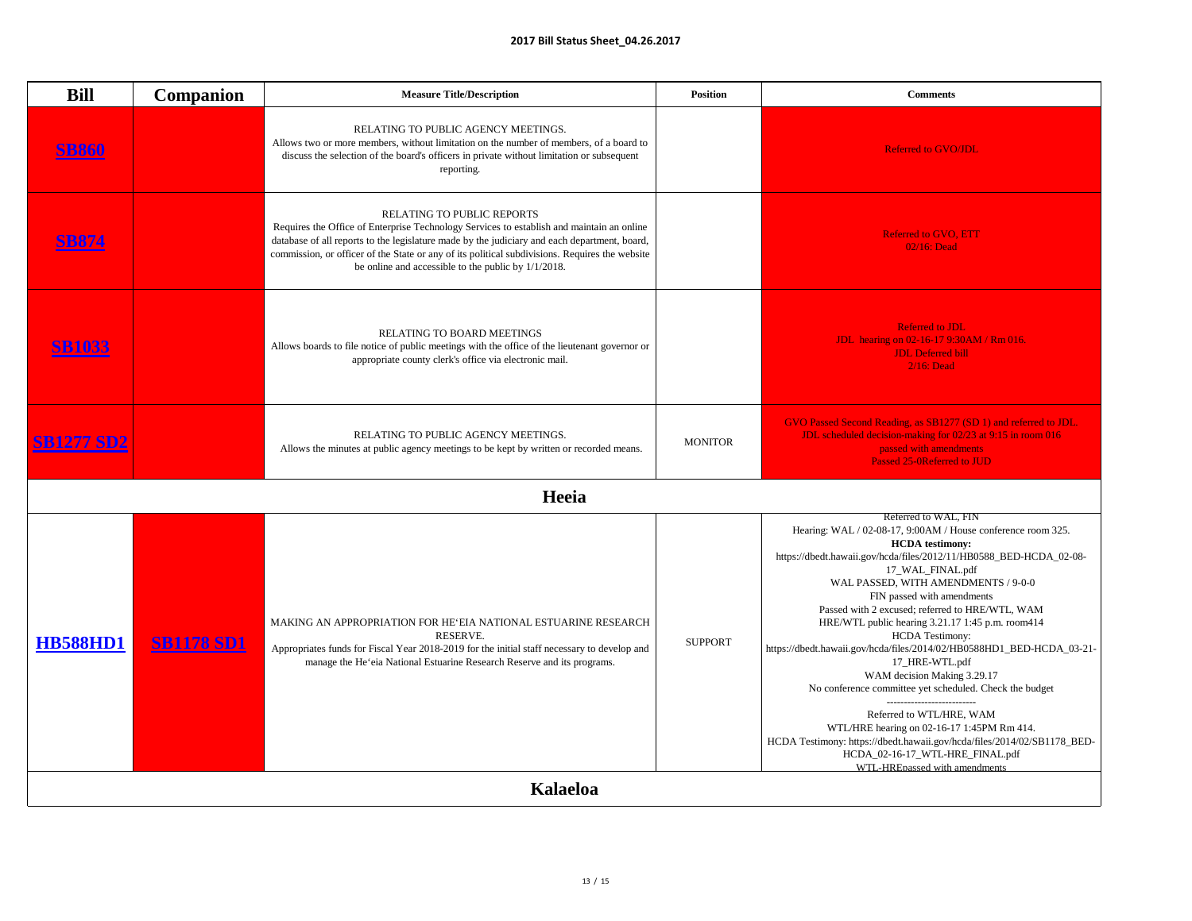| <b>Bill</b>       | <b>Companion</b>  | <b>Measure Title/Description</b>                                                                                                                                                                                                                                                                                                                                                           | <b>Position</b> | <b>Comments</b>                                                                                                                                                                                                                                                                                                                                                                                                                                                                                                                                                                                                                                                                                                                                                                                                                                             |
|-------------------|-------------------|--------------------------------------------------------------------------------------------------------------------------------------------------------------------------------------------------------------------------------------------------------------------------------------------------------------------------------------------------------------------------------------------|-----------------|-------------------------------------------------------------------------------------------------------------------------------------------------------------------------------------------------------------------------------------------------------------------------------------------------------------------------------------------------------------------------------------------------------------------------------------------------------------------------------------------------------------------------------------------------------------------------------------------------------------------------------------------------------------------------------------------------------------------------------------------------------------------------------------------------------------------------------------------------------------|
|                   |                   | RELATING TO PUBLIC AGENCY MEETINGS.<br>Allows two or more members, without limitation on the number of members, of a board to<br>discuss the selection of the board's officers in private without limitation or subsequent<br>reporting.                                                                                                                                                   |                 | <b>Referred to GVO/JDL</b>                                                                                                                                                                                                                                                                                                                                                                                                                                                                                                                                                                                                                                                                                                                                                                                                                                  |
|                   |                   | <b>RELATING TO PUBLIC REPORTS</b><br>Requires the Office of Enterprise Technology Services to establish and maintain an online<br>database of all reports to the legislature made by the judiciary and each department, board,<br>commission, or officer of the State or any of its political subdivisions. Requires the website<br>be online and accessible to the public by $1/1/2018$ . |                 | <b>Referred to GVO, ETT</b><br>02/16: Dead                                                                                                                                                                                                                                                                                                                                                                                                                                                                                                                                                                                                                                                                                                                                                                                                                  |
| 5B1033            |                   | <b>RELATING TO BOARD MEETINGS</b><br>Allows boards to file notice of public meetings with the office of the lieutenant governor or<br>appropriate county clerk's office via electronic mail.                                                                                                                                                                                               |                 | <b>Referred to JDL</b><br><b>JDL</b> hearing on 02-16-17 9:30AM / Rm 016.<br><b>JDL Deferred bill</b><br>$2/16$ : Dead                                                                                                                                                                                                                                                                                                                                                                                                                                                                                                                                                                                                                                                                                                                                      |
| <b>SB1277 SD2</b> |                   | RELATING TO PUBLIC AGENCY MEETINGS.<br>Allows the minutes at public agency meetings to be kept by written or recorded means.                                                                                                                                                                                                                                                               | <b>MONITOR</b>  | GVO Passed Second Reading, as SB1277 (SD 1) and referred to JDL.<br>JDL scheduled decision-making for 02/23 at 9:15 in room 016<br>passed with amendments<br><b>Passed 25-0Referred to JUD</b>                                                                                                                                                                                                                                                                                                                                                                                                                                                                                                                                                                                                                                                              |
|                   |                   | Heeia                                                                                                                                                                                                                                                                                                                                                                                      |                 |                                                                                                                                                                                                                                                                                                                                                                                                                                                                                                                                                                                                                                                                                                                                                                                                                                                             |
| <b>HB588HD1</b>   | <b>SB1178 SD1</b> | MAKING AN APPROPRIATION FOR HE EIA NATIONAL ESTUARINE RESEARCH<br>RESERVE.<br>Appropriates funds for Fiscal Year 2018-2019 for the initial staff necessary to develop and<br>manage the He'eia National Estuarine Research Reserve and its programs.                                                                                                                                       | <b>SUPPORT</b>  | Referred to WAL, FIN<br>Hearing: WAL / 02-08-17, 9:00AM / House conference room 325.<br><b>HCDA</b> testimony:<br>https://dbedt.hawaii.gov/hcda/files/2012/11/HB0588_BED-HCDA_02-08-<br>17_WAL_FINAL.pdf<br>WAL PASSED, WITH AMENDMENTS / 9-0-0<br>FIN passed with amendments<br>Passed with 2 excused; referred to HRE/WTL, WAM<br>HRE/WTL public hearing 3.21.17 1:45 p.m. room414<br><b>HCDA Testimony:</b><br>https://dbedt.hawaii.gov/hcda/files/2014/02/HB0588HD1_BED-HCDA_03-21-<br>17_HRE-WTL.pdf<br>WAM decision Making 3.29.17<br>No conference committee yet scheduled. Check the budget<br>---------------------------<br>Referred to WTL/HRE, WAM<br>WTL/HRE hearing on 02-16-17 1:45PM Rm 414.<br>HCDA Testimony: https://dbedt.hawaii.gov/hcda/files/2014/02/SB1178_BED-<br>HCDA_02-16-17_WTL-HRE_FINAL.pdf<br>WTL-HREpassed with amendments |
|                   |                   | Kalaeloa                                                                                                                                                                                                                                                                                                                                                                                   |                 |                                                                                                                                                                                                                                                                                                                                                                                                                                                                                                                                                                                                                                                                                                                                                                                                                                                             |
|                   |                   |                                                                                                                                                                                                                                                                                                                                                                                            |                 |                                                                                                                                                                                                                                                                                                                                                                                                                                                                                                                                                                                                                                                                                                                                                                                                                                                             |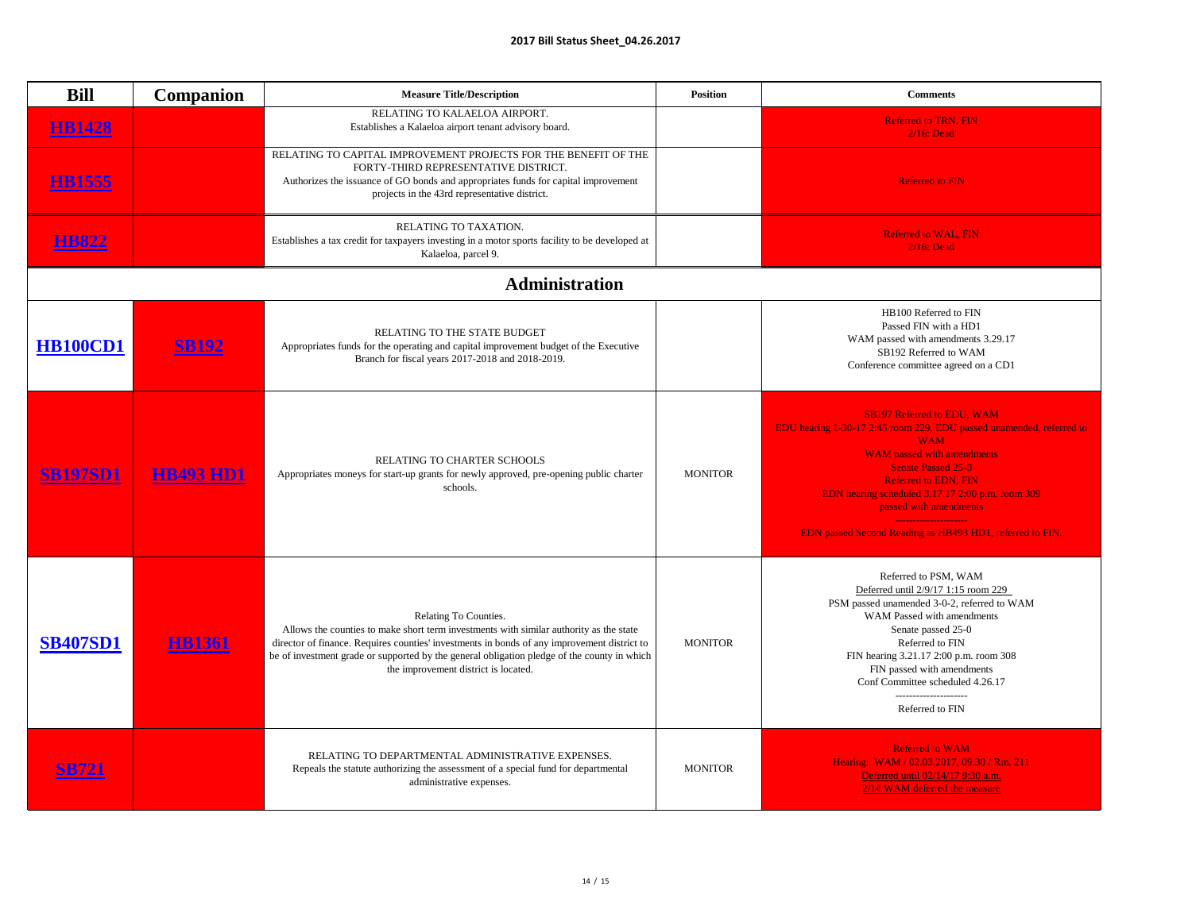| <b>Bill</b>     | <b>Companion</b> | <b>Measure Title/Description</b>                                                                                                                                                                                                                                                                                                                      | <b>Position</b> | <b>Comments</b>                                                                                                                                                                                                                                                                                                                                                    |
|-----------------|------------------|-------------------------------------------------------------------------------------------------------------------------------------------------------------------------------------------------------------------------------------------------------------------------------------------------------------------------------------------------------|-----------------|--------------------------------------------------------------------------------------------------------------------------------------------------------------------------------------------------------------------------------------------------------------------------------------------------------------------------------------------------------------------|
| <b>HB1428</b>   |                  | RELATING TO KALAELOA AIRPORT.<br>Establishes a Kalaeloa airport tenant advisory board.                                                                                                                                                                                                                                                                |                 | <b>Referred to TRN, FIN</b><br>$2/16$ : Dead                                                                                                                                                                                                                                                                                                                       |
| <b>FB1555</b>   |                  | RELATING TO CAPITAL IMPROVEMENT PROJECTS FOR THE BENEFIT OF THE<br>FORTY-THIRD REPRESENTATIVE DISTRICT.<br>Authorizes the issuance of GO bonds and appropriates funds for capital improvement<br>projects in the 43rd representative district.                                                                                                        |                 | <b>Referred to FIN</b>                                                                                                                                                                                                                                                                                                                                             |
|                 |                  | RELATING TO TAXATION.<br>Establishes a tax credit for taxpayers investing in a motor sports facility to be developed at<br>Kalaeloa, parcel 9.                                                                                                                                                                                                        |                 | <b>Referred to WAL, FIN</b><br>$2/16$ : Dead                                                                                                                                                                                                                                                                                                                       |
|                 |                  | <b>Administration</b>                                                                                                                                                                                                                                                                                                                                 |                 |                                                                                                                                                                                                                                                                                                                                                                    |
| <b>HB100CD1</b> | <b>SB192</b>     | <b>RELATING TO THE STATE BUDGET</b><br>Appropriates funds for the operating and capital improvement budget of the Executive<br>Branch for fiscal years 2017-2018 and 2018-2019.                                                                                                                                                                       |                 | HB100 Referred to FIN<br>Passed FIN with a HD1<br>WAM passed with amendments 3.29.17<br>SB192 Referred to WAM<br>Conference committee agreed on a CD1                                                                                                                                                                                                              |
| <b>SB197SD1</b> | <b>HB493 HD1</b> | RELATING TO CHARTER SCHOOLS<br>Appropriates moneys for start-up grants for newly approved, pre-opening public charter<br>schools.                                                                                                                                                                                                                     | <b>MONITOR</b>  | <b>SB197 Referred to EDU, WAM</b><br>EDU hearing 1-30-17 2:45 room 229, EDU passed unamended, referred to<br><b>WAM</b><br><b>WAM</b> passed with amendments<br><b>Senate Passed 25-0</b><br><b>Referred to EDN, FIN</b><br>EDN hearing scheduled 3.17.17 2:00 p.m. room 309<br>passed with amendments<br>EDN passed Second Reading as HB493 HD1, referred to FIN. |
| <b>SB407SD1</b> | <b>HB1361</b>    | Relating To Counties.<br>Allows the counties to make short term investments with similar authority as the state<br>director of finance. Requires counties' investments in bonds of any improvement district to<br>be of investment grade or supported by the general obligation pledge of the county in which<br>the improvement district is located. | <b>MONITOR</b>  | Referred to PSM, WAM<br>Deferred until 2/9/17 1:15 room 229<br>PSM passed unamended 3-0-2, referred to WAM<br><b>WAM Passed with amendments</b><br>Senate passed 25-0<br>Referred to FIN<br>FIN hearing 3.21.17 2:00 p.m. room 308<br>FIN passed with amendments<br>Conf Committee scheduled 4.26.17<br>---------------------<br>Referred to FIN                   |
| <b>B721</b>     |                  | RELATING TO DEPARTMENTAL ADMINISTRATIVE EXPENSES.<br>Repeals the statute authorizing the assessment of a special fund for departmental<br>administrative expenses.                                                                                                                                                                                    | <b>MONITOR</b>  | <b>Referred to WAM</b><br>Hearing: WAM / 02.03.2017, 09:30 / Rm. 211<br>Deferred until 02/14/17 9:30 a.m.<br>2/14 WAM deferred the measure                                                                                                                                                                                                                         |